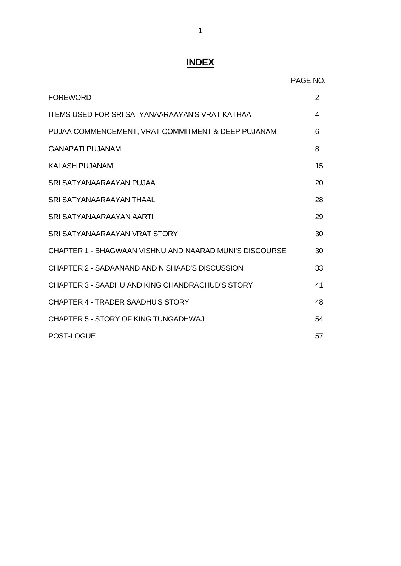# **INDEX**

|                                                         | PAGE NO. |
|---------------------------------------------------------|----------|
| <b>FOREWORD</b>                                         | 2        |
| <b>ITEMS USED FOR SRI SATYANAARAAYAN'S VRAT KATHAA</b>  | 4        |
| PUJAA COMMENCEMENT, VRAT COMMITMENT & DEEP PUJANAM      | 6        |
| <b>GANAPATI PUJANAM</b>                                 | 8        |
| <b>KALASH PUJANAM</b>                                   | 15       |
| SRI SATYANAARAAYAN PUJAA                                | 20       |
| <b>SRI SATYANAARAAYAN THAAL</b>                         | 28       |
| SRI SATYANAARAAYAN AARTI                                | 29       |
| SRI SATYANAARAAYAN VRAT STORY                           | 30       |
| CHAPTER 1 - BHAGWAAN VISHNU AND NAARAD MUNI'S DISCOURSE | 30       |
| CHAPTER 2 - SADAANAND AND NISHAAD'S DISCUSSION          | 33       |
| CHAPTER 3 - SAADHU AND KING CHANDRACHUD'S STORY         | 41       |
| CHAPTER 4 - TRADER SAADHU'S STORY                       | 48       |
| CHAPTER 5 - STORY OF KING TUNGADHWAJ                    | 54       |
| POST-LOGUE                                              | 57       |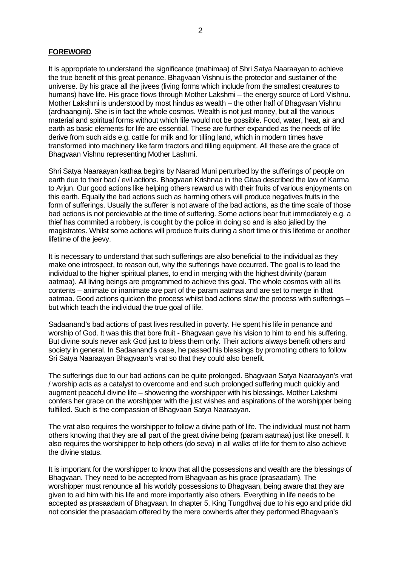#### **FOREWORD**

It is appropriate to understand the significance (mahimaa) of Shri Satya Naaraayan to achieve the true benefit of this great penance. Bhagvaan Vishnu is the protector and sustainer of the universe. By his grace all the jivees (living forms which include from the smallest creatures to humans) have life. His grace flows through Mother Lakshmi – the energy source of Lord Vishnu. Mother Lakshmi is understood by most hindus as wealth – the other half of Bhagvaan Vishnu (ardhaangini). She is in fact the whole cosmos. Wealth is not just money, but all the various material and spiritual forms without which life would not be possible. Food, water, heat, air and earth as basic elements for life are essential. These are further expanded as the needs of life derive from such aids e.g. cattle for milk and for tilling land, which in modern times have transformed into machinery like farm tractors and tilling equipment. All these are the grace of Bhagvaan Vishnu representing Mother Lashmi.

Shri Satya Naaraayan kathaa begins by Naarad Muni perturbed by the sufferings of people on earth due to their bad / evil actions. Bhagvaan Krishnaa in the Gitaa described the law of Karma to Arjun. Our good actions like helping others reward us with their fruits of various enjoyments on this earth. Equally the bad actions such as harming others will produce negatives fruits in the form of sufferings. Usually the sufferer is not aware of the bad actions, as the time scale of those bad actions is not percievable at the time of suffering. Some actions bear fruit immediately e.g. a thief has commited a robbery, is cought by the police in doing so and is also jalied by the magistrates. Whilst some actions will produce fruits during a short time or this lifetime or another lifetime of the jeevy.

It is necessary to understand that such sufferings are also beneficial to the individual as they make one introspect, to reason out, why the sufferings have occurred. The goal is to lead the individual to the higher spiritual planes, to end in merging with the highest divinity (param aatmaa). All living beings are programmed to achieve this goal. The whole cosmos with all its contents – animate or inanimate are part of the param aatmaa and are set to merge in that aatmaa. Good actions quicken the process whilst bad actions slow the process with sufferings – but which teach the individual the true goal of life.

Sadaanand's bad actions of past lives resulted in poverty. He spent his life in penance and worship of God. It was this that bore fruit - Bhagvaan gave his vision to him to end his suffering. But divine souls never ask God just to bless them only. Their actions always benefit others and society in general. In Sadaanand's case, he passed his blessings by promoting others to follow Sri Satya Naaraayan Bhagvaan's vrat so that they could also benefit.

The sufferings due to our bad actions can be quite prolonged. Bhagvaan Satya Naaraayan's vrat / worship acts as a catalyst to overcome and end such prolonged suffering much quickly and augment peaceful divine life – showering the worshipper with his blessings. Mother Lakshmi confers her grace on the worshipper with the just wishes and aspirations of the worshipper being fulfilled. Such is the compassion of Bhagvaan Satya Naaraayan.

The vrat also requires the worshipper to follow a divine path of life. The individual must not harm others knowing that they are all part of the great divine being (param aatmaa) just like oneself. It also requires the worshipper to help others (do seva) in all walks of life for them to also achieve the divine status.

It is important for the worshipper to know that all the possessions and wealth are the blessings of Bhagvaan. They need to be accepted from Bhagvaan as his grace (prasaadam). The worshipper must renounce all his worldly possessions to Bhagvaan, being aware that they are given to aid him with his life and more importantly also others. Everything in life needs to be accepted as prasaadam of Bhagvaan. In chapter 5, King Tungdhvaj due to his ego and pride did not consider the prasaadam offered by the mere cowherds after they performed Bhagvaan's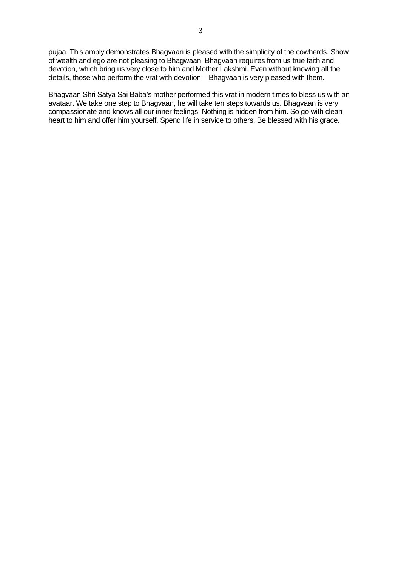pujaa. This amply demonstrates Bhagvaan is pleased with the simplicity of the cowherds. Show of wealth and ego are not pleasing to Bhagwaan. Bhagvaan requires from us true faith and devotion, which bring us very close to him and Mother Lakshmi. Even without knowing all the details, those who perform the vrat with devotion – Bhagvaan is very pleased with them.

Bhagvaan Shri Satya Sai Baba's mother performed this vrat in modern times to bless us with an avataar. We take one step to Bhagvaan, he will take ten steps towards us. Bhagvaan is very compassionate and knows all our inner feelings. Nothing is hidden from him. So go with clean heart to him and offer him yourself. Spend life in service to others. Be blessed with his grace.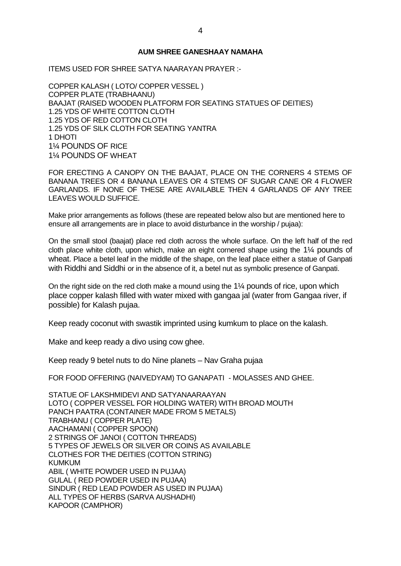#### **AUM SHREE GANESHAAY NAMAHA**

ITEMS USED FOR SHREE SATYA NAARAYAN PRAYER :-

COPPER KALASH ( LOTO/ COPPER VESSEL ) COPPER PLATE (TRABHAANU) BAAJAT (RAISED WOODEN PLATFORM FOR SEATING STATUES OF DEITIES) 1.25 YDS OF WHITE COTTON CLOTH 1.25 YDS OF RED COTTON CLOTH 1.25 YDS OF SILK CLOTH FOR SEATING YANTRA 1 DHOTI 1¼ POUNDS OF RICE 1¼ POUNDS OF WHEAT

FOR ERECTING A CANOPY ON THE BAAJAT, PLACE ON THE CORNERS 4 STEMS OF BANANA TREES OR 4 BANANA LEAVES OR 4 STEMS OF SUGAR CANE OR 4 FLOWER GARLANDS. IF NONE OF THESE ARE AVAILABLE THEN 4 GARLANDS OF ANY TREE LEAVES WOULD SUFFICE.

Make prior arrangements as follows (these are repeated below also but are mentioned here to ensure all arrangements are in place to avoid disturbance in the worship / pujaa):

On the small stool (baajat) place red cloth across the whole surface. On the left half of the red cloth place white cloth, upon which, make an eight cornered shape using the 1¼ pounds of wheat. Place a betel leaf in the middle of the shape, on the leaf place either a statue of Ganpati with Riddhi and Siddhi or in the absence of it, a betel nut as symbolic presence of Ganpati.

On the right side on the red cloth make a mound using the  $1\frac{1}{4}$  pounds of rice, upon which place copper kalash filled with water mixed with gangaa jal (water from Gangaa river, if possible) for Kalash pujaa.

Keep ready coconut with swastik imprinted using kumkum to place on the kalash.

Make and keep ready a divo using cow ghee.

Keep ready 9 betel nuts to do Nine planets – Nav Graha pujaa

FOR FOOD OFFERING (NAIVEDYAM) TO GANAPATI - MOLASSES AND GHEE.

STATUE OF LAKSHMIDEVI AND SATYANAARAAYAN LOTO ( COPPER VESSEL FOR HOLDING WATER) WITH BROAD MOUTH PANCH PAATRA (CONTAINER MADE FROM 5 METALS) TRABHANU ( COPPER PLATE) AACHAMANI ( COPPER SPOON) 2 STRINGS OF JANOI ( COTTON THREADS) 5 TYPES OF JEWELS OR SILVER OR COINS AS AVAILABLE CLOTHES FOR THE DEITIES (COTTON STRING) KUMKUM ABIL ( WHITE POWDER USED IN PUJAA) GULAL ( RED POWDER USED IN PUJAA) SINDUR ( RED LEAD POWDER AS USED IN PUJAA) ALL TYPES OF HERBS (SARVA AUSHADHI) KAPOOR (CAMPHOR)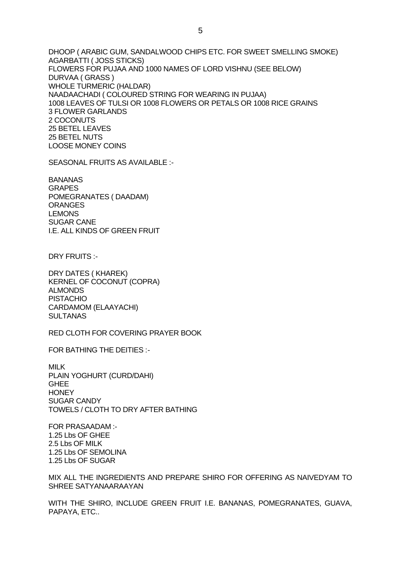DHOOP ( ARABIC GUM, SANDALWOOD CHIPS ETC. FOR SWEET SMELLING SMOKE) AGARBATTI ( JOSS STICKS) FLOWERS FOR PUJAA AND 1000 NAMES OF LORD VISHNU (SEE BELOW) DURVAA ( GRASS ) WHOLE TURMERIC (HALDAR) NAADAACHADI ( COLOURED STRING FOR WEARING IN PUJAA) 1008 LEAVES OF TULSI OR 1008 FLOWERS OR PETALS OR 1008 RICE GRAINS 3 FLOWER GARLANDS 2 COCONUTS 25 BETEL LEAVES 25 BETEL NUTS LOOSE MONEY COINS

SEASONAL FRUITS AS AVAILABLE :-

BANANAS GRAPES POMEGRANATES ( DAADAM) **ORANGES** LEMONS SUGAR CANE I.E. ALL KINDS OF GREEN FRUIT

DRY FRUITS :-

DRY DATES ( KHAREK) KERNEL OF COCONUT (COPRA) ALMONDS PISTACHIO CARDAMOM (ELAAYACHI) **SULTANAS** 

RED CLOTH FOR COVERING PRAYER BOOK

FOR BATHING THE DEITIES :-

MILK PLAIN YOGHURT (CURD/DAHI) GHEE **HONEY** SUGAR CANDY TOWELS / CLOTH TO DRY AFTER BATHING

FOR PRASAADAM :- 1.25 Lbs OF GHEE 2.5 Lbs OF MILK 1.25 Lbs OF SEMOLINA 1.25 Lbs OF SUGAR

MIX ALL THE INGREDIENTS AND PREPARE SHIRO FOR OFFERING AS NAIVEDYAM TO SHREE SATYANAARAAYAN

WITH THE SHIRO, INCLUDE GREEN FRUIT I.E. BANANAS, POMEGRANATES, GUAVA, PAPAYA, ETC..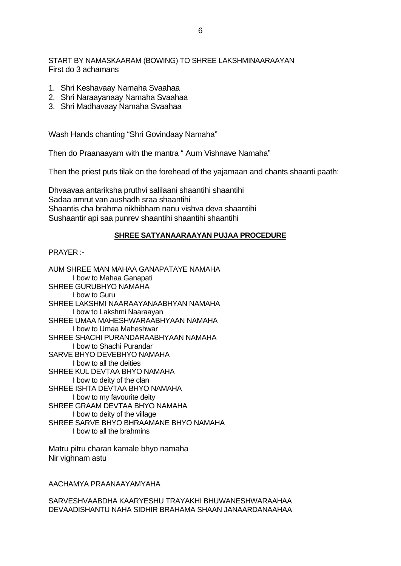START BY NAMASKAARAM (BOWING) TO SHREE LAKSHMINAARAAYAN First do 3 achamans

- 1. Shri Keshavaay Namaha Svaahaa
- 2. Shri Naraayanaay Namaha Svaahaa
- 3. Shri Madhavaay Namaha Svaahaa

Wash Hands chanting "Shri Govindaay Namaha"

Then do Praanaayam with the mantra " Aum Vishnave Namaha"

Then the priest puts tilak on the forehead of the yajamaan and chants shaanti paath:

Dhvaavaa antariksha pruthvi salilaani shaantihi shaantihi Sadaa amrut van aushadh sraa shaantihi Shaantis cha brahma nikhibham nanu vishva deva shaantihi Sushaantir api saa punrev shaantihi shaantihi shaantihi

## **SHREE SATYANAARAAYAN PUJAA PROCEDURE**

PRAYER :-

AUM SHREE MAN MAHAA GANAPATAYE NAMAHA I bow to Mahaa Ganapati SHREE GURUBHYO NAMAHA I bow to Guru SHREE LAKSHMI NAARAAYANAABHYAN NAMAHA I bow to Lakshmi Naaraayan SHREE UMAA MAHESHWARAABHYAAN NAMAHA I bow to Umaa Maheshwar SHREE SHACHI PURANDARAABHYAAN NAMAHA I bow to Shachi Purandar SARVE BHYO DEVEBHYO NAMAHA I bow to all the deities SHREE KUL DEVTAA BHYO NAMAHA I bow to deity of the clan SHREE ISHTA DEVTAA BHYO NAMAHA I bow to my favourite deity SHREE GRAAM DEVTAA BHYO NAMAHA I bow to deity of the village SHREE SARVE BHYO BHRAAMANE BHYO NAMAHA I bow to all the brahmins

Matru pitru charan kamale bhyo namaha Nir vighnam astu

AACHAMYA PRAANAAYAMYAHA

SARVESHVAABDHA KAARYESHU TRAYAKHI BHUWANESHWARAAHAA DEVAADISHANTU NAHA SIDHIR BRAHAMA SHAAN JANAARDANAAHAA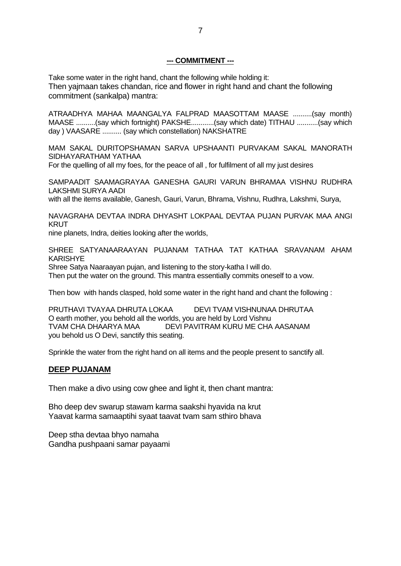## **--- COMMITMENT ---**

Take some water in the right hand, chant the following while holding it: Then yajmaan takes chandan, rice and flower in right hand and chant the following commitment (sankalpa) mantra:

ATRAADHYA MAHAA MAANGALYA FALPRAD MAASOTTAM MAASE ..........(say month) MAASE ..........(say which fortnight) PAKSHE............(say which date) TITHAU ...........(say which day ) VAASARE .......... (say which constellation) NAKSHATRE

MAM SAKAL DURITOPSHAMAN SARVA UPSHAANTI PURVAKAM SAKAL MANORATH SIDHAYARATHAM YATHAA

For the quelling of all my foes, for the peace of all , for fulfilment of all my just desires

SAMPAADIT SAAMAGRAYAA GANESHA GAURI VARUN BHRAMAA VISHNU RUDHRA LAKSHMI SURYA AADI

with all the items available, Ganesh, Gauri, Varun, Bhrama, Vishnu, Rudhra, Lakshmi, Surya,

NAVAGRAHA DEVTAA INDRA DHYASHT LOKPAAL DEVTAA PUJAN PURVAK MAA ANGI KRUT

nine planets, Indra, deities looking after the worlds,

SHREE SATYANAARAAYAN PUJANAM TATHAA TAT KATHAA SRAVANAM AHAM KARISHYE

Shree Satya Naaraayan pujan, and listening to the story-katha I will do.

Then put the water on the ground. This mantra essentially commits oneself to a vow.

Then bow with hands clasped, hold some water in the right hand and chant the following :

PRUTHAVI TVAYAA DHRUTA LOKAA DEVI TVAM VISHNUNAA DHRUTAA O earth mother, you behold all the worlds, you are held by Lord Vishnu TVAM CHA DHAARYA MAA DEVI PAVITRAM KURU ME CHA AASANAM you behold us O Devi, sanctify this seating.

Sprinkle the water from the right hand on all items and the people present to sanctify all.

## **DEEP PUJANAM**

Then make a divo using cow ghee and light it, then chant mantra:

Bho deep dev swarup stawam karma saakshi hyavida na krut Yaavat karma samaaptihi syaat taavat tvam sam sthiro bhava

Deep stha devtaa bhyo namaha Gandha pushpaani samar payaami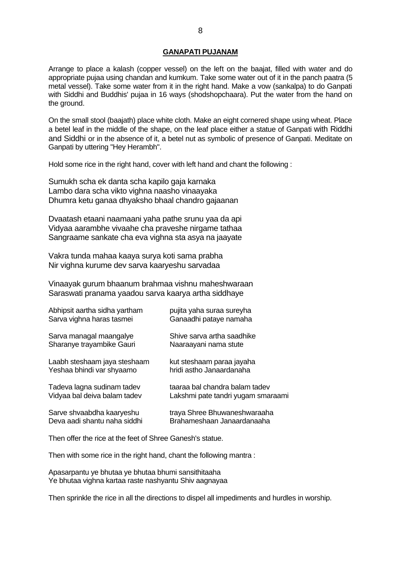#### **GANAPATI PUJANAM**

Arrange to place a kalash (copper vessel) on the left on the baajat, filled with water and do appropriate pujaa using chandan and kumkum. Take some water out of it in the panch paatra (5 metal vessel). Take some water from it in the right hand. Make a vow (sankalpa) to do Ganpati with Siddhi and Buddhis' pujaa in 16 ways (shodshopchaara). Put the water from the hand on the ground.

On the small stool (baajath) place white cloth. Make an eight cornered shape using wheat. Place a betel leaf in the middle of the shape, on the leaf place either a statue of Ganpati with Riddhi and Siddhi or in the absence of it, a betel nut as symbolic of presence of Ganpati. Meditate on Ganpati by uttering "Hey Herambh".

Hold some rice in the right hand, cover with left hand and chant the following :

Sumukh scha ek danta scha kapilo gaja karnaka Lambo dara scha vikto vighna naasho vinaayaka Dhumra ketu ganaa dhyaksho bhaal chandro gajaanan

Dvaatash etaani naamaani yaha pathe srunu yaa da api Vidyaa aarambhe vivaahe cha praveshe nirgame tathaa Sangraame sankate cha eva vighna sta asya na jaayate

Vakra tunda mahaa kaaya surya koti sama prabha Nir vighna kurume dev sarva kaaryeshu sarvadaa

Vinaayak gurum bhaanum brahmaa vishnu maheshwaraan Saraswati pranama yaadou sarva kaarya artha siddhaye

| Sarva vighna haras tasmei    | Ganaadhi pataye namaha             |
|------------------------------|------------------------------------|
| Sarva managal maangalye      | Shive sarva artha saadhike         |
| Sharanye trayambike Gauri    | Naaraayani nama stute              |
| Laabh steshaam jaya steshaam | kut steshaam paraa jayaha          |
| Yeshaa bhindi var shyaamo    | hridi astho Janaardanaha           |
| Tadeva lagna sudinam tadev   | taaraa bal chandra balam tadev     |
| Vidyaa bal deiva balam tadev | Lakshmi pate tandri yugam smaraami |
| Sarve shvaabdha kaaryeshu    | traya Shree Bhuwaneshwaraaha       |
| Deva aadi shantu naha siddhi | Brahameshaan Janaardanaaha         |

Then offer the rice at the feet of Shree Ganesh's statue.

Then with some rice in the right hand, chant the following mantra :

Apasarpantu ye bhutaa ye bhutaa bhumi sansithitaaha Ye bhutaa vighna kartaa raste nashyantu Shiv aagnayaa

Then sprinkle the rice in all the directions to dispel all impediments and hurdles in worship.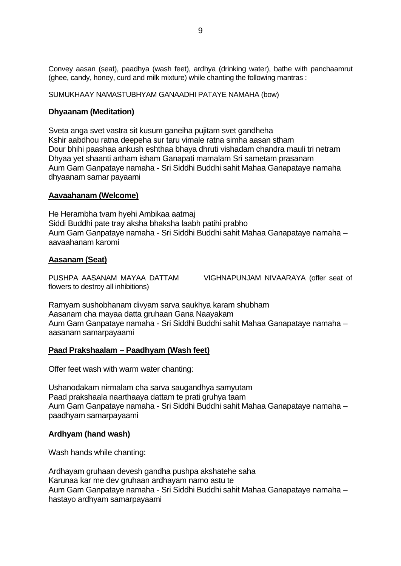Convey aasan (seat), paadhya (wash feet), ardhya (drinking water), bathe with panchaamrut (ghee, candy, honey, curd and milk mixture) while chanting the following mantras :

SUMUKHAAY NAMASTUBHYAM GANAADHI PATAYE NAMAHA (bow)

## **Dhyaanam (Meditation)**

Sveta anga svet vastra sit kusum ganeiha pujitam svet gandheha Kshir aabdhou ratna deepeha sur taru vimale ratna simha aasan stham Dour bhihi paashaa ankush eshthaa bhaya dhruti vishadam chandra mauli tri netram Dhyaa yet shaanti artham isham Ganapati mamalam Sri sametam prasanam Aum Gam Ganpataye namaha - Sri Siddhi Buddhi sahit Mahaa Ganapataye namaha dhyaanam samar payaami

### **Aavaahanam (Welcome)**

He Herambha tvam hyehi Ambikaa aatmaj Siddi Buddhi pate tray aksha bhaksha laabh patihi prabho Aum Gam Ganpataye namaha - Sri Siddhi Buddhi sahit Mahaa Ganapataye namaha – aavaahanam karomi

### **Aasanam (Seat)**

flowers to destroy all inhibitions)

PUSHPA AASANAM MAYAA DATTAM VIGHNAPUNJAM NIVAARAYA (offer seat of

Ramyam sushobhanam divyam sarva saukhya karam shubham Aasanam cha mayaa datta gruhaan Gana Naayakam Aum Gam Ganpataye namaha - Sri Siddhi Buddhi sahit Mahaa Ganapataye namaha – aasanam samarpayaami

### **Paad Prakshaalam – Paadhyam (Wash feet)**

Offer feet wash with warm water chanting:

Ushanodakam nirmalam cha sarva saugandhya samyutam Paad prakshaala naarthaaya dattam te prati gruhya taam Aum Gam Ganpataye namaha - Sri Siddhi Buddhi sahit Mahaa Ganapataye namaha – paadhyam samarpayaami

### **Ardhyam (hand wash)**

Wash hands while chanting:

Ardhayam gruhaan devesh gandha pushpa akshatehe saha Karunaa kar me dev gruhaan ardhayam namo astu te Aum Gam Ganpataye namaha - Sri Siddhi Buddhi sahit Mahaa Ganapataye namaha – hastayo ardhyam samarpayaami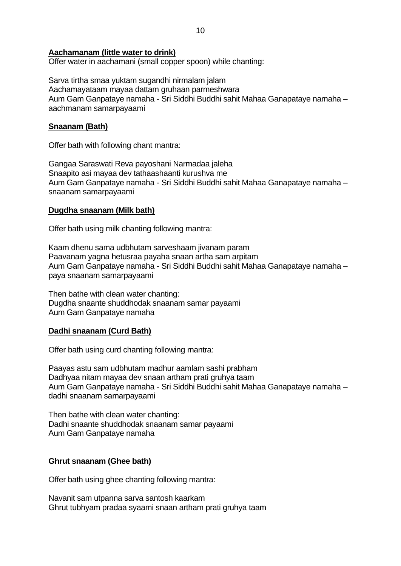## **Aachamanam (little water to drink)**

Offer water in aachamani (small copper spoon) while chanting:

Sarva tirtha smaa yuktam sugandhi nirmalam jalam Aachamayataam mayaa dattam gruhaan parmeshwara Aum Gam Ganpataye namaha - Sri Siddhi Buddhi sahit Mahaa Ganapataye namaha – aachmanam samarpayaami

## **Snaanam (Bath)**

Offer bath with following chant mantra:

Gangaa Saraswati Reva payoshani Narmadaa jaleha Snaapito asi mayaa dev tathaashaanti kurushva me Aum Gam Ganpataye namaha - Sri Siddhi Buddhi sahit Mahaa Ganapataye namaha – snaanam samarpayaami

## **Dugdha snaanam (Milk bath)**

Offer bath using milk chanting following mantra:

Kaam dhenu sama udbhutam sarveshaam jivanam param Paavanam yagna hetusraa payaha snaan artha sam arpitam Aum Gam Ganpataye namaha - Sri Siddhi Buddhi sahit Mahaa Ganapataye namaha – paya snaanam samarpayaami

Then bathe with clean water chanting: Dugdha snaante shuddhodak snaanam samar payaami Aum Gam Ganpataye namaha

### **Dadhi snaanam (Curd Bath)**

Offer bath using curd chanting following mantra:

Paayas astu sam udbhutam madhur aamlam sashi prabham Dadhyaa nitam mayaa dev snaan artham prati gruhya taam Aum Gam Ganpataye namaha - Sri Siddhi Buddhi sahit Mahaa Ganapataye namaha – dadhi snaanam samarpayaami

Then bathe with clean water chanting: Dadhi snaante shuddhodak snaanam samar payaami Aum Gam Ganpataye namaha

## **Ghrut snaanam (Ghee bath)**

Offer bath using ghee chanting following mantra:

Navanit sam utpanna sarva santosh kaarkam Ghrut tubhyam pradaa syaami snaan artham prati gruhya taam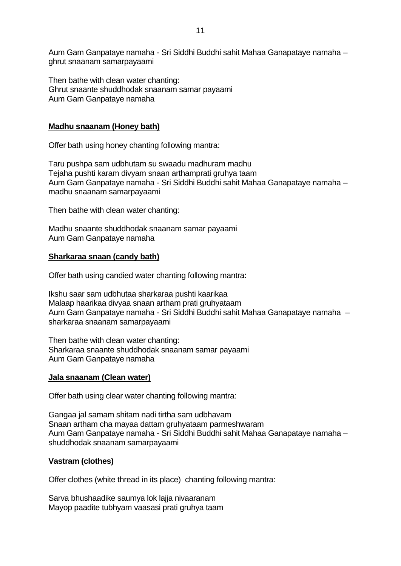Aum Gam Ganpataye namaha - Sri Siddhi Buddhi sahit Mahaa Ganapataye namaha – ghrut snaanam samarpayaami

Then bathe with clean water chanting: Ghrut snaante shuddhodak snaanam samar payaami Aum Gam Ganpataye namaha

## **Madhu snaanam (Honey bath)**

Offer bath using honey chanting following mantra:

Taru pushpa sam udbhutam su swaadu madhuram madhu Tejaha pushti karam divyam snaan arthamprati gruhya taam Aum Gam Ganpataye namaha - Sri Siddhi Buddhi sahit Mahaa Ganapataye namaha – madhu snaanam samarpayaami

Then bathe with clean water chanting:

Madhu snaante shuddhodak snaanam samar payaami Aum Gam Ganpataye namaha

## **Sharkaraa snaan (candy bath)**

Offer bath using candied water chanting following mantra:

Ikshu saar sam udbhutaa sharkaraa pushti kaarikaa Malaap haarikaa divyaa snaan artham prati gruhyataam Aum Gam Ganpataye namaha - Sri Siddhi Buddhi sahit Mahaa Ganapataye namaha – sharkaraa snaanam samarpayaami

Then bathe with clean water chanting: Sharkaraa snaante shuddhodak snaanam samar payaami Aum Gam Ganpataye namaha

### **Jala snaanam (Clean water)**

Offer bath using clear water chanting following mantra:

Gangaa jal samam shitam nadi tirtha sam udbhavam Snaan artham cha mayaa dattam gruhyataam parmeshwaram Aum Gam Ganpataye namaha - Sri Siddhi Buddhi sahit Mahaa Ganapataye namaha – shuddhodak snaanam samarpayaami

### **Vastram (clothes)**

Offer clothes (white thread in its place) chanting following mantra:

Sarva bhushaadike saumya lok lajja nivaaranam Mayop paadite tubhyam vaasasi prati gruhya taam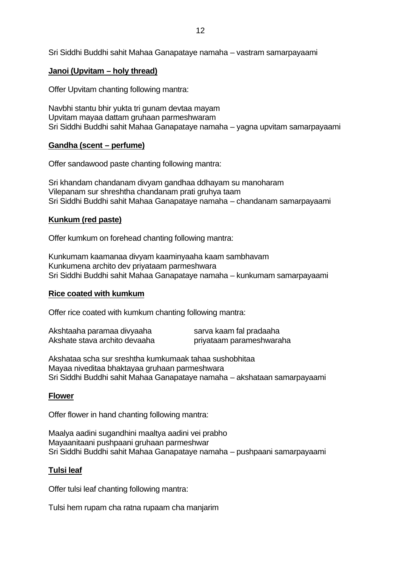Sri Siddhi Buddhi sahit Mahaa Ganapataye namaha – vastram samarpayaami

## **Janoi (Upvitam – holy thread)**

Offer Upvitam chanting following mantra:

Navbhi stantu bhir yukta tri gunam devtaa mayam Upvitam mayaa dattam gruhaan parmeshwaram Sri Siddhi Buddhi sahit Mahaa Ganapataye namaha – yagna upvitam samarpayaami

## **Gandha (scent – perfume)**

Offer sandawood paste chanting following mantra:

Sri khandam chandanam divyam gandhaa ddhayam su manoharam Vilepanam sur shreshtha chandanam prati gruhya taam Sri Siddhi Buddhi sahit Mahaa Ganapataye namaha – chandanam samarpayaami

## **Kunkum (red paste)**

Offer kumkum on forehead chanting following mantra:

Kunkumam kaamanaa divyam kaaminyaaha kaam sambhavam Kunkumena archito dev priyataam parmeshwara Sri Siddhi Buddhi sahit Mahaa Ganapataye namaha – kunkumam samarpayaami

## **Rice coated with kumkum**

Offer rice coated with kumkum chanting following mantra:

| Akshtaaha paramaa divyaaha    | sarva kaam fal pradaaha  |
|-------------------------------|--------------------------|
| Akshate stava archito devaaha | priyataam parameshwaraha |

Akshataa scha sur sreshtha kumkumaak tahaa sushobhitaa Mayaa niveditaa bhaktayaa gruhaan parmeshwara Sri Siddhi Buddhi sahit Mahaa Ganapataye namaha – akshataan samarpayaami

## **Flower**

Offer flower in hand chanting following mantra:

Maalya aadini sugandhini maaltya aadini vei prabho Mayaanitaani pushpaani gruhaan parmeshwar Sri Siddhi Buddhi sahit Mahaa Ganapataye namaha – pushpaani samarpayaami

### **Tulsi leaf**

Offer tulsi leaf chanting following mantra:

Tulsi hem rupam cha ratna rupaam cha manjarim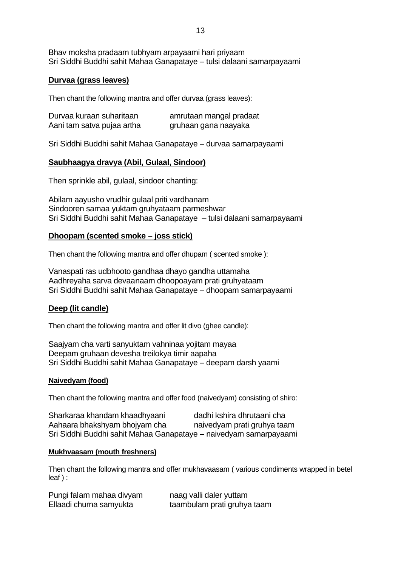Bhav moksha pradaam tubhyam arpayaami hari priyaam Sri Siddhi Buddhi sahit Mahaa Ganapataye – tulsi dalaani samarpayaami

## **Durvaa (grass leaves)**

Then chant the following mantra and offer durvaa (grass leaves):

| Durvaa kuraan suharitaan   | amrutaan mangal pradaat |
|----------------------------|-------------------------|
| Aani tam satva pujaa artha | gruhaan gana naayaka    |

Sri Siddhi Buddhi sahit Mahaa Ganapataye – durvaa samarpayaami

## **Saubhaagya dravya (Abil, Gulaal, Sindoor)**

Then sprinkle abil, gulaal, sindoor chanting:

Abilam aayusho vrudhir gulaal priti vardhanam Sindooren samaa yuktam gruhyataam parmeshwar Sri Siddhi Buddhi sahit Mahaa Ganapataye – tulsi dalaani samarpayaami

### **Dhoopam (scented smoke – joss stick)**

Then chant the following mantra and offer dhupam ( scented smoke ):

Vanaspati ras udbhooto gandhaa dhayo gandha uttamaha Aadhreyaha sarva devaanaam dhoopoayam prati gruhyataam Sri Siddhi Buddhi sahit Mahaa Ganapataye – dhoopam samarpayaami

### **Deep (lit candle)**

Then chant the following mantra and offer lit divo (ghee candle):

Saajyam cha varti sanyuktam vahninaa yojitam mayaa Deepam gruhaan devesha treilokya timir aapaha Sri Siddhi Buddhi sahit Mahaa Ganapataye – deepam darsh yaami

#### **Naivedyam (food)**

Then chant the following mantra and offer food (naivedyam) consisting of shiro:

| Sharkaraa khandam khaadhyaani                                     | dadhi kshira dhrutaani cha  |
|-------------------------------------------------------------------|-----------------------------|
| Aahaara bhakshyam bhojyam cha                                     | naivedyam prati gruhya taam |
| Sri Siddhi Buddhi sahit Mahaa Ganapataye - naivedyam samarpayaami |                             |

#### **Mukhvaasam (mouth freshners)**

Then chant the following mantra and offer mukhavaasam ( various condiments wrapped in betel leaf ) :

| Pungi falam mahaa divyam | naag valli daler yuttam     |
|--------------------------|-----------------------------|
| Ellaadi churna samyukta  | taambulam prati gruhya taam |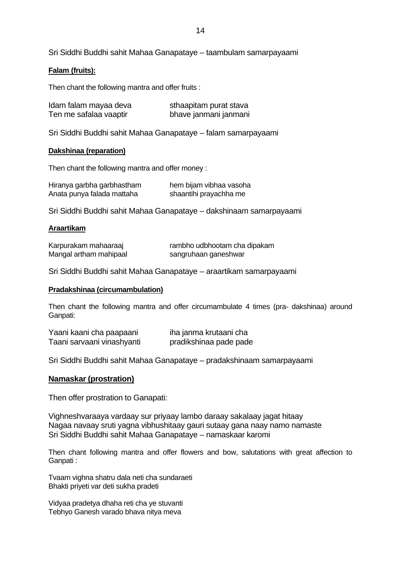Sri Siddhi Buddhi sahit Mahaa Ganapataye – taambulam samarpayaami

#### **Falam (fruits):**

Then chant the following mantra and offer fruits :

| Idam falam mayaa deva  | sthaapitam purat stava |
|------------------------|------------------------|
| Ten me safalaa vaaptir | bhave janmani janmani  |

Sri Siddhi Buddhi sahit Mahaa Ganapataye – falam samarpayaami

#### **Dakshinaa (reparation)**

Then chant the following mantra and offer money :

| Hiranya garbha garbhastham | hem bijam vibhaa vasoha |
|----------------------------|-------------------------|
| Anata punya falada mattaha | shaantihi prayachha me  |

Sri Siddhi Buddhi sahit Mahaa Ganapataye – dakshinaam samarpayaami

#### **Araartikam**

| Karpurakam mahaaraaj   | rambho udbhootam cha dipakam |
|------------------------|------------------------------|
| Mangal artham mahipaal | sangruhaan ganeshwar         |

Sri Siddhi Buddhi sahit Mahaa Ganapataye – araartikam samarpayaami

#### **Pradakshinaa (circumambulation)**

Then chant the following mantra and offer circumambulate 4 times (pra- dakshinaa) around Ganpati:

| Yaani kaani cha paapaani   | iha janma krutaani cha |  |
|----------------------------|------------------------|--|
| Taani sarvaani vinashyanti | pradikshinaa pade pade |  |

Sri Siddhi Buddhi sahit Mahaa Ganapataye – pradakshinaam samarpayaami

#### **Namaskar (prostration)**

Then offer prostration to Ganapati:

Vighneshvaraaya vardaay sur priyaay lambo daraay sakalaay jagat hitaay Nagaa navaay sruti yagna vibhushitaay gauri sutaay gana naay namo namaste Sri Siddhi Buddhi sahit Mahaa Ganapataye – namaskaar karomi

Then chant following mantra and offer flowers and bow, salutations with great affection to Ganpati :

Tvaam vighna shatru dala neti cha sundaraeti Bhakti priyeti var deti sukha pradeti

Vidyaa pradetya dhaha reti cha ye stuvanti Tebhyo Ganesh varado bhava nitya meva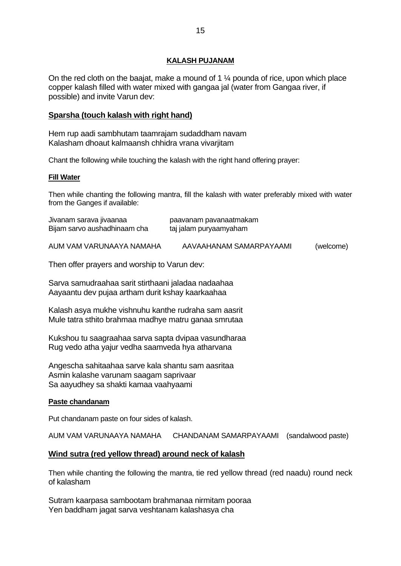## **KALASH PUJANAM**

On the red cloth on the baajat, make a mound of 1 ¼ pounda of rice, upon which place copper kalash filled with water mixed with gangaa jal (water from Gangaa river, if possible) and invite Varun dev:

## **Sparsha (touch kalash with right hand)**

Hem rup aadi sambhutam taamrajam sudaddham navam Kalasham dhoaut kalmaansh chhidra vrana vivarjitam

Chant the following while touching the kalash with the right hand offering prayer:

### **Fill Water**

Then while chanting the following mantra, fill the kalash with water preferably mixed with water from the Ganges if available:

| Jivanam sarava jivaanaa<br>Bijam sarvo aushadhinaam cha | paavanam pavanaatmakam<br>taj jalam puryaamyaham |           |
|---------------------------------------------------------|--------------------------------------------------|-----------|
| AUM VAM VARUNAAYA NAMAHA                                | AAVAAHANAM SAMARPAYAAMI                          | (welcome) |

Then offer prayers and worship to Varun dev:

Sarva samudraahaa sarit stirthaani jaladaa nadaahaa Aayaantu dev pujaa artham durit kshay kaarkaahaa

Kalash asya mukhe vishnuhu kanthe rudraha sam aasrit Mule tatra sthito brahmaa madhye matru ganaa smrutaa

Kukshou tu saagraahaa sarva sapta dvipaa vasundharaa Rug vedo atha yajur vedha saamveda hya atharvana

Angescha sahitaahaa sarve kala shantu sam aasritaa Asmin kalashe varunam saagam saprivaar Sa aayudhey sa shakti kamaa vaahyaami

### **Paste chandanam**

Put chandanam paste on four sides of kalash.

AUM VAM VARUNAAYA NAMAHA CHANDANAM SAMARPAYAAMI (sandalwood paste)

## **Wind sutra (red yellow thread) around neck of kalash**

Then while chanting the following the mantra, tie red yellow thread (red naadu) round neck of kalasham

Sutram kaarpasa sambootam brahmanaa nirmitam pooraa Yen baddham jagat sarva veshtanam kalashasya cha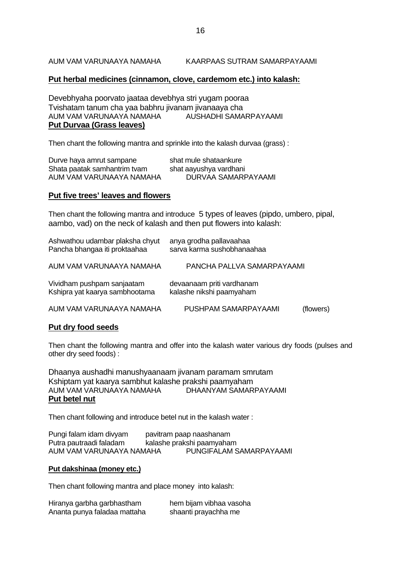AUM VAM VARUNAAYA NAMAHA KAARPAAS SUTRAM SAMARPAYAAMI

## **Put herbal medicines (cinnamon, clove, cardemom etc.) into kalash:**

Devebhyaha poorvato jaataa devebhya stri yugam pooraa Tvishatam tanum cha yaa babhru jivanam jivanaaya cha AUM VAM VARUNAAYA NAMAHA AUSHADHI SAMARPAYAAMI **Put Durvaa (Grass leaves)**

Then chant the following mantra and sprinkle into the kalash durvaa (grass) :

| Durve haya amrut sampane     | shat mule shataankure  |
|------------------------------|------------------------|
| Shata paatak samhantrim tvam | shat aayushya vardhani |
| AUM VAM VARUNAAYA NAMAHA     | DURVAA SAMARPAYAAMI    |

#### **Put five trees' leaves and flowers**

Then chant the following mantra and introduce 5 types of leaves (pipdo, umbero, pipal, aambo, vad) on the neck of kalash and then put flowers into kalash:

| Ashwathou udambar plaksha chyut<br>Pancha bhangaa iti proktaahaa | anya grodha pallavaahaa<br>sarva karma sushobhanaahaa |           |
|------------------------------------------------------------------|-------------------------------------------------------|-----------|
| AUM VAM VARUNAAYA NAMAHA                                         | PANCHA PALLVA SAMARPAYAAMI                            |           |
| Vividham pushpam sanjaatam<br>Kshipra yat kaarya sambhootama     | devaanaam priti vardhanam<br>kalashe nikshi paamyaham |           |
| AUM VAM VARUNAAYA NAMAHA                                         | PUSHPAM SAMARPAYAAMI                                  | (flowers) |

### **Put dry food seeds**

Then chant the following mantra and offer into the kalash water various dry foods (pulses and other dry seed foods) :

Dhaanya aushadhi manushyaanaam jivanam paramam smrutam Kshiptam yat kaarya sambhut kalashe prakshi paamyaham AUM VAM VARUNAAYA NAMAHA **Put betel nut**

Then chant following and introduce betel nut in the kalash water :

| Pungi falam idam divyam  | pavitram paap naashanam   |
|--------------------------|---------------------------|
| Putra pautraadi faladam  | kalashe prakshi paamyaham |
| AUM VAM VARUNAAYA NAMAHA | PUNGIFALAM SAMARPAYAAMI   |

#### **Put dakshinaa (money etc.)**

Then chant following mantra and place money into kalash:

| Hiranya garbha garbhastham   | hem bijam vibhaa vasoha |
|------------------------------|-------------------------|
| Ananta punya faladaa mattaha | shaanti prayachha me    |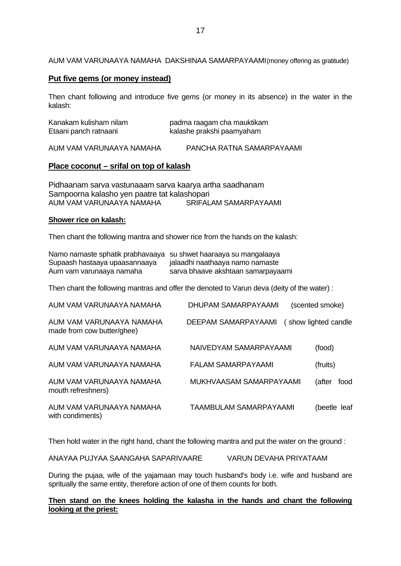#### AUM VAM VARUNAAYA NAMAHA DAKSHINAA SAMARPAYAAMI(money offering as gratitude)

## **Put five gems (or money instead)**

Then chant following and introduce five gems (or money in its absence) in the water in the kalash:

| Kanakam kulisham nilam   | padma raagam cha mauktikam |
|--------------------------|----------------------------|
| Etaani panch ratnaani    | kalashe prakshi paamyaham  |
| AUM VAM VARUNAAYA NAMAHA | PANCHA RATNA SAMARPAYAAMI  |

## **Place coconut – srifal on top of kalash**

Pidhaanam sarva vastunaaam sarva kaarya artha saadhanam Sampoorna kalasho yen paatre tat kalashopari<br>AUM VAM VARUNAAYA NAMAHA SRIFALAM SAMARPAYAAMI AUM VAM VARUNAAYA NAMAHA

#### **Shower rice on kalash:**

Then chant the following mantra and shower rice from the hands on the kalash:

| Namo namaste sphatik prabhavaaya<br>Supaash hastaaya upaasannaaya<br>Aum vam varunaaya namaha | su shwet haaraaya su mangalaaya<br>jalaadhi naathaaya namo namaste<br>sarva bhaave akshtaan samarpayaami |                      |
|-----------------------------------------------------------------------------------------------|----------------------------------------------------------------------------------------------------------|----------------------|
|                                                                                               | Then chant the following mantras and offer the denoted to Varun deva (deity of the water) :              |                      |
| AUM VAM VARUNAAYA NAMAHA                                                                      | DHUPAM SAMARPAYAAMI                                                                                      | (scented smoke)      |
| AUM VAM VARUNAAYA NAMAHA<br>made from cow butter/ghee)                                        | DEEPAM SAMARPAYAAMI                                                                                      | (show lighted candle |
| AUM VAM VARUNAAYA NAMAHA                                                                      | NAIVEDYAM SAMARPAYAAMI                                                                                   | (food)               |
| AUM VAM VARUNAAYA NAMAHA                                                                      | FALAM SAMARPAYAAMI                                                                                       | (fruits)             |
| AUM VAM VARUNAAYA NAMAHA<br>mouth refreshners)                                                | MUKHVAASAM SAMARPAYAAMI                                                                                  | (after<br>food       |
| AUM VAM VARUNAAYA NAMAHA<br>with condiments)                                                  | TAAMBULAM SAMARPAYAAMI                                                                                   | (beetle leaf         |

Then hold water in the right hand, chant the following mantra and put the water on the ground :

ANAYAA PUJYAA SAANGAHA SAPARIVAARE VARUN DEVAHA PRIYATAAM

During the pujaa, wife of the yajamaan may touch husband's body i.e. wife and husband are spritually the same entity, therefore action of one of them counts for both.

### **Then stand on the knees holding the kalasha in the hands and chant the following looking at the priest:**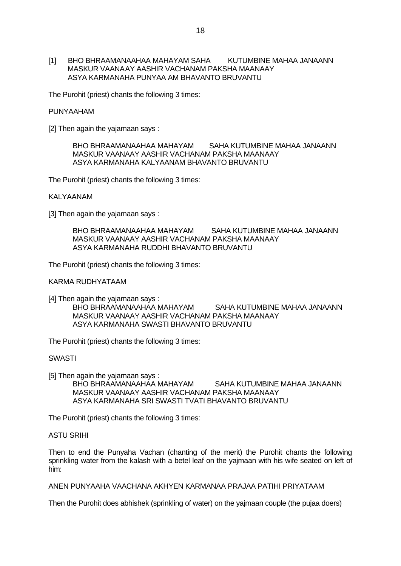[1] BHO BHRAAMANAAHAA MAHAYAM SAHA KUTUMBINE MAHAA JANAANN MASKUR VAANAAY AASHIR VACHANAM PAKSHA MAANAAY ASYA KARMANAHA PUNYAA AM BHAVANTO BRUVANTU

The Purohit (priest) chants the following 3 times:

#### PUNYAAHAM

[2] Then again the yajamaan says :

BHO BHRAAMANAAHAA MAHAYAM SAHA KUTUMBINE MAHAA JANAANN MASKUR VAANAAY AASHIR VACHANAM PAKSHA MAANAAY ASYA KARMANAHA KALYAANAM BHAVANTO BRUVANTU

The Purohit (priest) chants the following 3 times:

#### KALYAANAM

[3] Then again the yajamaan says :

BHO BHRAAMANAAHAA MAHAYAM SAHA KUTUMBINE MAHAA JANAANN MASKUR VAANAAY AASHIR VACHANAM PAKSHA MAANAAY ASYA KARMANAHA RUDDHI BHAVANTO BRUVANTU

The Purohit (priest) chants the following 3 times:

#### KARMA RUDHYATAAM

[4] Then again the yajamaan says : BHO BHRAAMANAAHAA MAHAYAM SAHA KUTUMBINE MAHAA JANAANN MASKUR VAANAAY AASHIR VACHANAM PAKSHA MAANAAY ASYA KARMANAHA SWASTI BHAVANTO BRUVANTU

The Purohit (priest) chants the following 3 times:

#### SWASTI

[5] Then again the yajamaan says :

BHO BHRAAMANAAHAA MAHAYAM SAHA KUTUMBINE MAHAA JANAANN MASKUR VAANAAY AASHIR VACHANAM PAKSHA MAANAAY ASYA KARMANAHA SRI SWASTI TVATI BHAVANTO BRUVANTU

The Purohit (priest) chants the following 3 times:

#### ASTU SRIHI

Then to end the Punyaha Vachan (chanting of the merit) the Purohit chants the following sprinkling water from the kalash with a betel leaf on the yajmaan with his wife seated on left of him:

ANEN PUNYAAHA VAACHANA AKHYEN KARMANAA PRAJAA PATIHI PRIYATAAM

Then the Purohit does abhishek (sprinkling of water) on the yajmaan couple (the pujaa doers)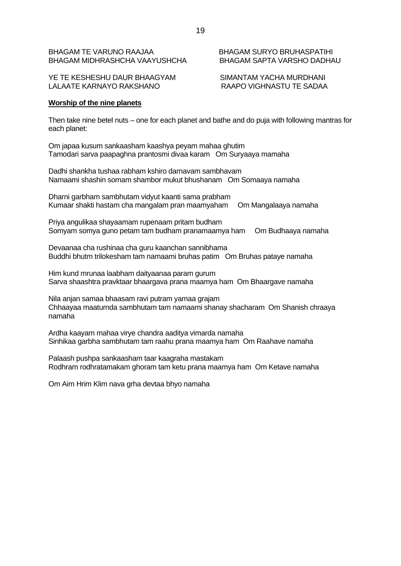## BHAGAM TE VARUNO RAAJAA BHAGAM SURYO BRUHASPATIHI BHAGAM MIDHRASHCHA VAAYUSHCHA BHAGAM SAPTA VARSHO DADHAU

YE TE KESHESHU DAUR BHAAGYAM SIMANTAM YACHA MURDHANI LALAATE KARNAYO RAKSHANO RAAPO VIGHNASTU TE SADAA

## **Worship of the nine planets**

Then take nine betel nuts – one for each planet and bathe and do puja with following mantras for each planet:

Om japaa kusum sankaasham kaashya peyam mahaa ghutim Tamodari sarva paapaghna prantosmi divaa karam Om Suryaaya mamaha

Dadhi shankha tushaa rabham kshiro darnavam sambhavam Namaami shashin somam shambor mukut bhushanam Om Somaaya namaha

Dharni garbham sambhutam vidyut kaanti sama prabham Kumaar shakti hastam cha mangalam pran maamyaham Om Mangalaaya namaha

Priya angulikaa shayaamam rupenaam pritam budham Somyam somya guno petam tam budham pranamaamya ham Om Budhaaya namaha

Devaanaa cha rushinaa cha guru kaanchan sannibhama Buddhi bhutm trilokesham tam namaami bruhas patim Om Bruhas pataye namaha

Him kund mrunaa laabham daityaanaa param gurum Sarva shaashtra pravktaar bhaargava prana maamya ham Om Bhaargave namaha

Nila anjan samaa bhaasam ravi putram yamaa grajam Chhaayaa maaturnda sambhutam tam namaami shanay shacharam Om Shanish chraaya namaha

Ardha kaayam mahaa virye chandra aaditya vimarda namaha Sinhikaa garbha sambhutam tam raahu prana maamya ham Om Raahave namaha

Palaash pushpa sankaasham taar kaagraha mastakam Rodhram rodhratamakam ghoram tam ketu prana maamya ham Om Ketave namaha

Om Aim Hrim Klim nava grha devtaa bhyo namaha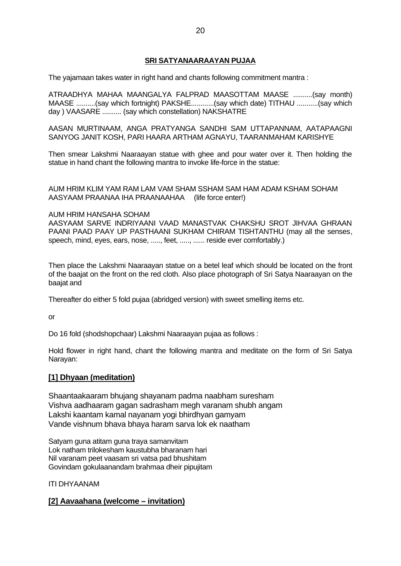## **SRI SATYANAARAAYAN PUJAA**

The yajamaan takes water in right hand and chants following commitment mantra :

ATRAADHYA MAHAA MAANGALYA FALPRAD MAASOTTAM MAASE ..........(say month) MAASE ..........(say which fortnight) PAKSHE............(say which date) TITHAU ...........(say which day ) VAASARE .......... (say which constellation) NAKSHATRE

AASAN MURTINAAM, ANGA PRATYANGA SANDHI SAM UTTAPANNAM, AATAPAAGNI SANYOG JANIT KOSH, PARI HAARA ARTHAM AGNAYU, TAARANMAHAM KARISHYE

Then smear Lakshmi Naaraayan statue with ghee and pour water over it. Then holding the statue in hand chant the following mantra to invoke life-force in the statue:

AUM HRIM KLIM YAM RAM LAM VAM SHAM SSHAM SAM HAM ADAM KSHAM SOHAM AASYAAM PRAANAA IHA PRAANAAHAA (life force enter!)

#### AUM HRIM HANSAHA SOHAM

AASYAAM SARVE INDRIYAANI VAAD MANASTVAK CHAKSHU SROT JIHVAA GHRAAN PAANI PAAD PAAY UP PASTHAANI SUKHAM CHIRAM TISHTANTHU (may all the senses, speech, mind, eyes, ears, nose, ....., feet, ....., ...... reside ever comfortably.)

Then place the Lakshmi Naaraayan statue on a betel leaf which should be located on the front of the baajat on the front on the red cloth. Also place photograph of Sri Satya Naaraayan on the baajat and

Thereafter do either 5 fold pujaa (abridged version) with sweet smelling items etc.

or

Do 16 fold (shodshopchaar) Lakshmi Naaraayan pujaa as follows :

Hold flower in right hand, chant the following mantra and meditate on the form of Sri Satya Narayan:

### **[1] Dhyaan (meditation)**

Shaantaakaaram bhujang shayanam padma naabham suresham Vishva aadhaaram gagan sadrasham megh varanam shubh angam Lakshi kaantam kamal nayanam yogi bhirdhyan gamyam Vande vishnum bhava bhaya haram sarva lok ek naatham

Satyam guna atitam guna traya samanvitam Lok natham trilokesham kaustubha bharanam hari Nil varanam peet vaasam sri vatsa pad bhushitam Govindam gokulaanandam brahmaa dheir pipujitam

ITI DHYAANAM

## **[2] Aavaahana (welcome – invitation)**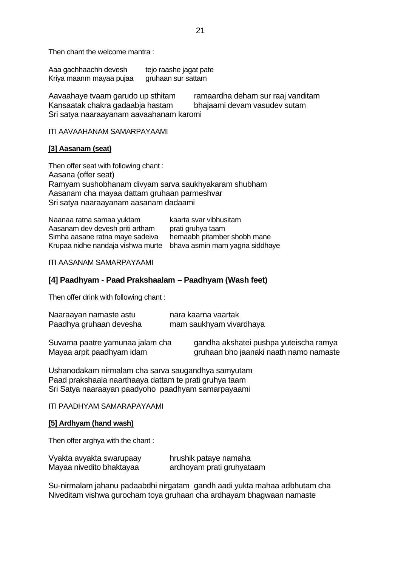Then chant the welcome mantra :

Aaa gachhaachh devesh tejo raashe jagat pate<br>Kriva maanm mavaa pujaa qruhaan sur sattam Kriya maanm mayaa pujaa

Aavaahaye tvaam garudo up sthitam ramaardha deham sur raaj vanditam Kansaatak chakra gadaabja hastam bhajaami devam vasudev sutam Sri satya naaraayanam aavaahanam karomi

ITI AAVAAHANAM SAMARPAYAAMI

#### **[3] Aasanam (seat)**

Then offer seat with following chant : Aasana (offer seat) Ramyam sushobhanam divyam sarva saukhyakaram shubham Aasanam cha mayaa dattam gruhaan parmeshvar Sri satya naaraayanam aasanam dadaami

| Naanaa ratna samaa yuktam                                        | kaarta svar vibhusitam      |
|------------------------------------------------------------------|-----------------------------|
| Aasanam dev devesh priti artham                                  | prati gruhya taam           |
| Simha aasane ratna maye sadeiva                                  | hemaabh pitamber shobh mane |
| Krupaa nidhe nandaja vishwa murte bhava asmin mam yagna siddhaye |                             |

ITI AASANAM SAMARPAYAAMI

## **[4] Paadhyam - Paad Prakshaalam – Paadhyam (Wash feet)**

Then offer drink with following chant :

| Naaraayan namaste astu           | nara kaarna vaartak                    |
|----------------------------------|----------------------------------------|
| Paadhya gruhaan devesha          | mam saukhyam vivardhaya                |
| Suvarna paatre yamunaa jalam cha | gandha akshatei pushpa yuteischa ramya |
| Mayaa arpit paadhyam idam        | gruhaan bho jaanaki naath namo namaste |

Ushanodakam nirmalam cha sarva saugandhya samyutam Paad prakshaala naarthaaya dattam te prati gruhya taam Sri Satya naaraayan paadyoho paadhyam samarpayaami

ITI PAADHYAM SAMARAPAYAAMI

#### **[5] Ardhyam (hand wash)**

Then offer arghya with the chant :

| Vyakta avyakta swarupaay | hrushik pataye namaha     |
|--------------------------|---------------------------|
| Mayaa nivedito bhaktayaa | ardhoyam prati gruhyataam |

Su-nirmalam jahanu padaabdhi nirgatam gandh aadi yukta mahaa adbhutam cha Niveditam vishwa gurocham toya gruhaan cha ardhayam bhagwaan namaste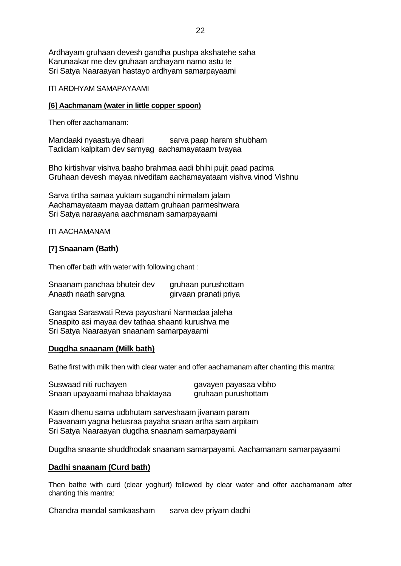Ardhayam gruhaan devesh gandha pushpa akshatehe saha Karunaakar me dev gruhaan ardhayam namo astu te Sri Satya Naaraayan hastayo ardhyam samarpayaami

ITI ARDHYAM SAMAPAYAAMI

### **[6] Aachmanam (water in little copper spoon)**

Then offer aachamanam:

Mandaaki nyaastuya dhaari sarva paap haram shubham Tadidam kalpitam dev samyag aachamayataam tvayaa

Bho kirtishvar vishva baaho brahmaa aadi bhihi pujit paad padma Gruhaan devesh mayaa niveditam aachamayataam vishva vinod Vishnu

Sarva tirtha samaa yuktam sugandhi nirmalam jalam Aachamayataam mayaa dattam gruhaan parmeshwara Sri Satya naraayana aachmanam samarpayaami

ITI AACHAMANAM

### **[7] Snaanam (Bath)**

Then offer bath with water with following chant :

| Snaanam panchaa bhuteir dev | gruhaan purushottam   |
|-----------------------------|-----------------------|
| Anaath naath sarvgna        | girvaan pranati priya |

Gangaa Saraswati Reva payoshani Narmadaa jaleha Snaapito asi mayaa dev tathaa shaanti kurushva me Sri Satya Naaraayan snaanam samarpayaami

### **Dugdha snaanam (Milk bath)**

Bathe first with milk then with clear water and offer aachamanam after chanting this mantra:

| Suswaad niti ruchayen          | gavayen payasaa vibho |
|--------------------------------|-----------------------|
| Snaan upayaami mahaa bhaktayaa | gruhaan purushottam   |

Kaam dhenu sama udbhutam sarveshaam jivanam param Paavanam yagna hetusraa payaha snaan artha sam arpitam Sri Satya Naaraayan dugdha snaanam samarpayaami

Dugdha snaante shuddhodak snaanam samarpayami. Aachamanam samarpayaami

### **Dadhi snaanam (Curd bath)**

Then bathe with curd (clear yoghurt) followed by clear water and offer aachamanam after chanting this mantra:

Chandra mandal samkaasham sarva dev priyam dadhi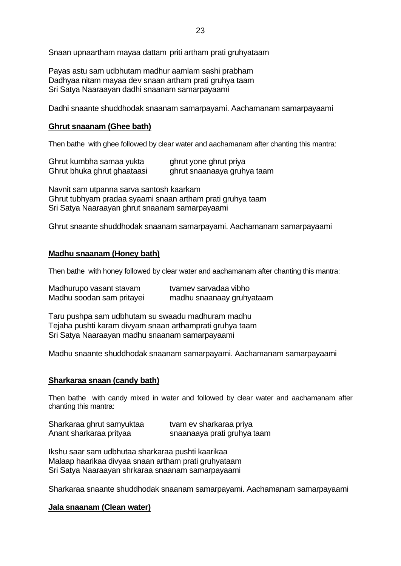Snaan upnaartham mayaa dattam priti artham prati gruhyataam

Payas astu sam udbhutam madhur aamlam sashi prabham Dadhyaa nitam mayaa dev snaan artham prati gruhya taam Sri Satya Naaraayan dadhi snaanam samarpayaami

Dadhi snaante shuddhodak snaanam samarpayami. Aachamanam samarpayaami

## **Ghrut snaanam (Ghee bath)**

Then bathe with ghee followed by clear water and aachamanam after chanting this mantra:

| Ghrut kumbha samaa yukta    | ghrut yone ghrut priya      |
|-----------------------------|-----------------------------|
| Ghrut bhuka ghrut ghaataasi | ghrut snaanaaya gruhya taam |

Navnit sam utpanna sarva santosh kaarkam Ghrut tubhyam pradaa syaami snaan artham prati gruhya taam Sri Satya Naaraayan ghrut snaanam samarpayaami

Ghrut snaante shuddhodak snaanam samarpayami. Aachamanam samarpayaami

### **Madhu snaanam (Honey bath)**

Then bathe with honey followed by clear water and aachamanam after chanting this mantra:

| Madhurupo vasant stavam   | tvamev sarvadaa vibho     |
|---------------------------|---------------------------|
| Madhu soodan sam pritayei | madhu snaanaay gruhyataam |

Taru pushpa sam udbhutam su swaadu madhuram madhu Tejaha pushti karam divyam snaan arthamprati gruhya taam Sri Satya Naaraayan madhu snaanam samarpayaami

Madhu snaante shuddhodak snaanam samarpayami. Aachamanam samarpayaami

### **Sharkaraa snaan (candy bath)**

Then bathe with candy mixed in water and followed by clear water and aachamanam after chanting this mantra:

| Sharkaraa ghrut samyuktaa | tvam ev sharkaraa priya     |
|---------------------------|-----------------------------|
| Anant sharkaraa prityaa   | snaanaaya prati gruhya taam |

Ikshu saar sam udbhutaa sharkaraa pushti kaarikaa Malaap haarikaa divyaa snaan artham prati gruhyataam Sri Satya Naaraayan shrkaraa snaanam samarpayaami

Sharkaraa snaante shuddhodak snaanam samarpayami. Aachamanam samarpayaami

#### **Jala snaanam (Clean water)**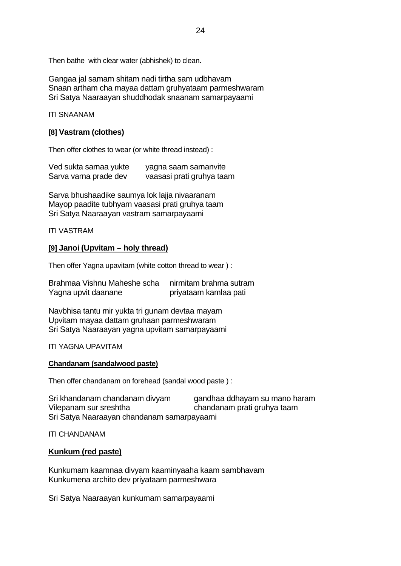Then bathe with clear water (abhishek) to clean.

Gangaa jal samam shitam nadi tirtha sam udbhavam Snaan artham cha mayaa dattam gruhyataam parmeshwaram Sri Satya Naaraayan shuddhodak snaanam samarpayaami

ITI SNAANAM

## **[8] Vastram (clothes)**

Then offer clothes to wear (or white thread instead) :

| Ved sukta samaa yukte | yagna saam samanvite      |
|-----------------------|---------------------------|
| Sarva varna prade dev | vaasasi prati gruhya taam |

Sarva bhushaadike saumya lok lajja nivaaranam Mayop paadite tubhyam vaasasi prati gruhya taam Sri Satya Naaraayan vastram samarpayaami

ITI VASTRAM

## **[9] Janoi (Upvitam – holy thread)**

Then offer Yagna upavitam (white cotton thread to wear ) :

Brahmaa Vishnu Maheshe scha nirmitam brahma sutram Yagna upvit daanane priyataam kamlaa pati

Navbhisa tantu mir yukta tri gunam devtaa mayam Upvitam mayaa dattam gruhaan parmeshwaram Sri Satya Naaraayan yagna upvitam samarpayaami

ITI YAGNA UPAVITAM

### **Chandanam (sandalwood paste)**

Then offer chandanam on forehead (sandal wood paste ) :

Sri khandanam chandanam divyam gandhaa ddhayam su mano haram Vilepanam sur sreshtha chandanam prati gruhya taam Sri Satya Naaraayan chandanam samarpayaami

ITI CHANDANAM

### **Kunkum (red paste)**

Kunkumam kaamnaa divyam kaaminyaaha kaam sambhavam Kunkumena archito dev priyataam parmeshwara

Sri Satya Naaraayan kunkumam samarpayaami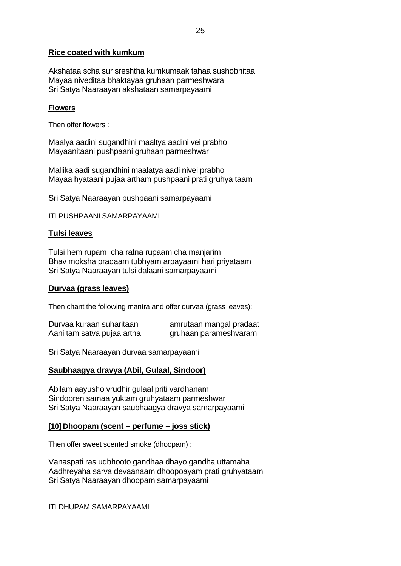## **Rice coated with kumkum**

Akshataa scha sur sreshtha kumkumaak tahaa sushobhitaa Mayaa niveditaa bhaktayaa gruhaan parmeshwara Sri Satya Naaraayan akshataan samarpayaami

#### **Flowers**

Then offer flowers :

Maalya aadini sugandhini maaltya aadini vei prabho Mayaanitaani pushpaani gruhaan parmeshwar

Mallika aadi sugandhini maalatya aadi nivei prabho Mayaa hyataani pujaa artham pushpaani prati gruhya taam

Sri Satya Naaraayan pushpaani samarpayaami

ITI PUSHPAANI SAMARPAYAAMI

### **Tulsi leaves**

Tulsi hem rupam cha ratna rupaam cha manjarim Bhav moksha pradaam tubhyam arpayaami hari priyataam Sri Satya Naaraayan tulsi dalaani samarpayaami

### **Durvaa (grass leaves)**

Then chant the following mantra and offer durvaa (grass leaves):

| Durvaa kuraan suharitaan   | amrutaan mangal pradaat |
|----------------------------|-------------------------|
| Aani tam satva pujaa artha | gruhaan parameshvaram   |

Sri Satya Naaraayan durvaa samarpayaami

### **Saubhaagya dravya (Abil, Gulaal, Sindoor)**

Abilam aayusho vrudhir gulaal priti vardhanam Sindooren samaa yuktam gruhyataam parmeshwar Sri Satya Naaraayan saubhaagya dravya samarpayaami

### **[10] Dhoopam (scent – perfume – joss stick)**

Then offer sweet scented smoke (dhoopam) :

Vanaspati ras udbhooto gandhaa dhayo gandha uttamaha Aadhreyaha sarva devaanaam dhoopoayam prati gruhyataam Sri Satya Naaraayan dhoopam samarpayaami

ITI DHUPAM SAMARPAYAAMI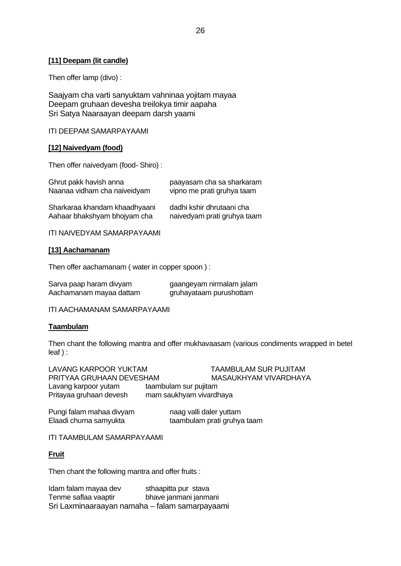### **[11] Deepam (lit candle)**

Then offer lamp (divo) :

Saajyam cha varti sanyuktam vahninaa yojitam mayaa Deepam gruhaan devesha treilokya timir aapaha Sri Satya Naaraayan deepam darsh yaami

ITI DEEPAM SAMARPAYAAMI

### **[12] Naivedyam (food)**

Then offer naivedyam (food- Shiro) :

| paayasam cha sa sharkaram   |
|-----------------------------|
| vipno me prati gruhya taam  |
|                             |
| dadhi kshir dhrutaani cha   |
| naivedyam prati gruhya taam |
|                             |

ITI NAIVEDYAM SAMARPAYAAMI

### **[13] Aachamanam**

Then offer aachamanam ( water in copper spoon ) :

| Sarva paap haram divyam | gaangeyam nirmalam jalam |
|-------------------------|--------------------------|
| Aachamanam mayaa dattam | gruhayataam purushottam  |

ITI AACHAMANAM SAMARPAYAAMI

### **Taambulam**

Then chant the following mantra and offer mukhavaasam (various condiments wrapped in betel leaf ) :

LAVANG KARPOOR YUKTAM TAAMBULAM SUR PUJITAM PRITYAA GRUHAAN DEVESHAM MASAUKHYAM VIVARDHAYA Lavang karpoor yutam taambulam sur pujitam Pritayaa gruhaan devesh mam saukhyam vivardhaya

Pungi falam mahaa divyam naag valli daler yuttam Elaadi churna samyukta taambulam prati gruhya taam

ITI TAAMBULAM SAMARPAYAAMI

### **Fruit**

Then chant the following mantra and offer fruits :

Idam falam mayaa dev sthaapitta pur stava Tenme saflaa vaaptir bhave janmani janmani Sri Laxminaaraayan namaha – falam samarpayaami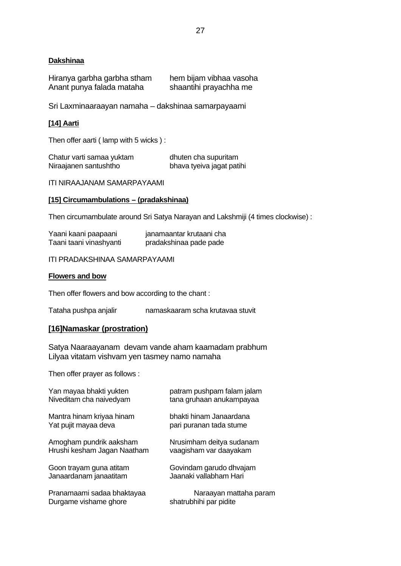## **Dakshinaa**

| Hiranya garbha garbha stham | hem bijam vibhaa vasoha |
|-----------------------------|-------------------------|
| Anant punya falada mataha   | shaantihi prayachha me  |

Sri Laxminaaraayan namaha – dakshinaa samarpayaami

### **[14] Aarti**

Then offer aarti ( lamp with 5 wicks ) :

| Chatur varti samaa yuktam | dhuten cha supuritam      |
|---------------------------|---------------------------|
| Niraajanen santushtho     | bhava tyeiva jagat patihi |

ITI NIRAAJANAM SAMARPAYAAMI

#### **[15] Circumambulations – (pradakshinaa)**

Then circumambulate around Sri Satya Narayan and Lakshmiji (4 times clockwise) :

| Yaani kaani paapaani    | janamaantar krutaani cha |
|-------------------------|--------------------------|
| Taani taani vinashyanti | pradakshinaa pade pade   |

ITI PRADAKSHINAA SAMARPAYAAMI

#### **Flowers and bow**

Then offer flowers and bow according to the chant :

Tataha pushpa anjalir namaskaaram scha krutavaa stuvit

## **[16]Namaskar (prostration)**

Satya Naaraayanam devam vande aham kaamadam prabhum Lilyaa vitatam vishvam yen tasmey namo namaha

Then offer prayer as follows :

| Yan mayaa bhakti yukten     | patram pushpam falam jalam |
|-----------------------------|----------------------------|
| Niveditam cha naivedyam     | tana gruhaan anukampayaa   |
| Mantra hinam kriyaa hinam   | bhakti hinam Janaardana    |
| Yat pujit mayaa deva        | pari puranan tada stume    |
| Amogham pundrik aaksham     | Nrusimham deitya sudanam   |
| Hrushi kesham Jagan Naatham | vaagisham var daayakam     |
| Goon trayam guna atitam     | Govindam garudo dhvajam    |
| Janaardanam janaatitam      | Jaanaki vallabham Hari     |
| Pranamaami sadaa bhaktayaa  | Naraayan mattaha param     |
| Durgame vishame ghore       | shatrubhihi par pidite     |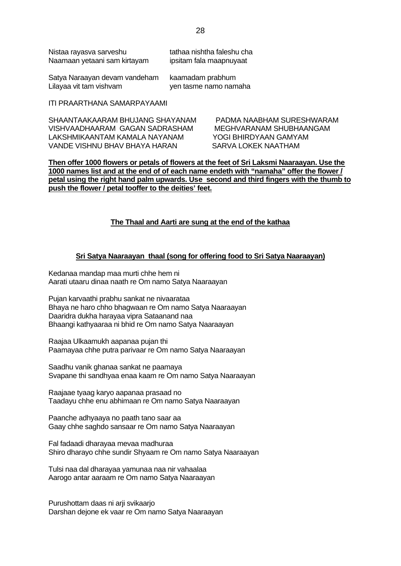| Nistaa rayasva sarveshu      | tathaa nishtha faleshu cha |
|------------------------------|----------------------------|
| Naamaan yetaani sam kirtayam | ipsitam fala maapnuyaat    |

Satya Naraayan devam vandeham kaamadam prabhum Lilayaa vit tam vishvam van ven tasme namo namaha

#### ITI PRAARTHANA SAMARPAYAAMI

SHAANTAAKAARAM BHUJANG SHAYANAM PADMA NAABHAM SURESHWARAM VISHVAADHAARAM GAGAN SADRASHAM MEGHVARANAM SHUBHAANGAM LAKSHMIKAANTAM KAMALA NAYANAM YOGI BHIRDYAAN GAMYAM VANDE VISHNU BHAV BHAYA HARAN SARVA LOKEK NAATHAM

**Then offer 1000 flowers or petals of flowers at the feet of Sri Laksmi Naaraayan. Use the 1000 names list and at the end of of each name endeth with "namaha" offer the flower / petal using the right hand palm upwards. Use second and third fingers with the thumb to push the flower / petal tooffer to the deities' feet.**

#### **The Thaal and Aarti are sung at the end of the kathaa**

#### **Sri Satya Naaraayan thaal (song for offering food to Sri Satya Naaraayan)**

Kedanaa mandap maa murti chhe hem ni Aarati utaaru dinaa naath re Om namo Satya Naaraayan

Pujan karvaathi prabhu sankat ne nivaarataa Bhaya ne haro chho bhagwaan re Om namo Satya Naaraayan Daaridra dukha harayaa vipra Sataanand naa Bhaangi kathyaaraa ni bhid re Om namo Satya Naaraayan

Raajaa Ulkaamukh aapanaa pujan thi Paamayaa chhe putra parivaar re Om namo Satya Naaraayan

Saadhu vanik ghanaa sankat ne paamaya Svapane thi sandhyaa enaa kaam re Om namo Satya Naaraayan

Raajaae tyaag karyo aapanaa prasaad no Taadayu chhe enu abhimaan re Om namo Satya Naaraayan

Paanche adhyaaya no paath tano saar aa Gaay chhe saghdo sansaar re Om namo Satya Naaraayan

Fal fadaadi dharayaa mevaa madhuraa Shiro dharayo chhe sundir Shyaam re Om namo Satya Naaraayan

Tulsi naa dal dharayaa yamunaa naa nir vahaalaa Aarogo antar aaraam re Om namo Satya Naaraayan

Purushottam daas ni arji svikaarjo Darshan dejone ek vaar re Om namo Satya Naaraayan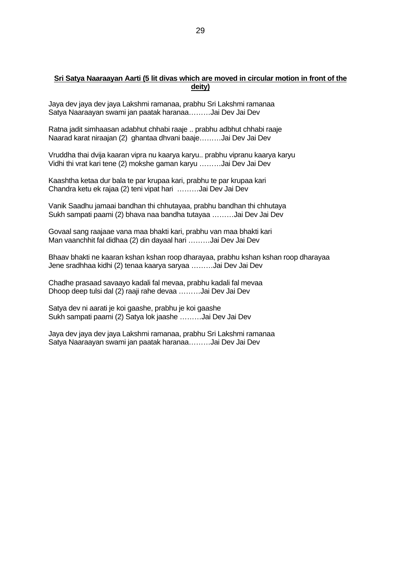## **Sri Satya Naaraayan Aarti (5 lit divas which are moved in circular motion in front of the deity)**

Jaya dev jaya dev jaya Lakshmi ramanaa, prabhu Sri Lakshmi ramanaa Satya Naaraayan swami jan paatak haranaa………Jai Dev Jai Dev

Ratna jadit simhaasan adabhut chhabi raaje .. prabhu adbhut chhabi raaje Naarad karat niraajan (2) ghantaa dhvani baaje………Jai Dev Jai Dev

Vruddha thai dvija kaaran vipra nu kaarya karyu.. prabhu vipranu kaarya karyu Vidhi thi vrat kari tene (2) mokshe gaman karyu ………Jai Dev Jai Dev

Kaashtha ketaa dur bala te par krupaa kari, prabhu te par krupaa kari Chandra ketu ek rajaa (2) teni vipat hari ………Jai Dev Jai Dev

Vanik Saadhu jamaai bandhan thi chhutayaa, prabhu bandhan thi chhutaya Sukh sampati paami (2) bhava naa bandha tutayaa ………Jai Dev Jai Dev

Govaal sang raajaae vana maa bhakti kari, prabhu van maa bhakti kari Man vaanchhit fal didhaa (2) din dayaal hari ………Jai Dev Jai Dev

Bhaav bhakti ne kaaran kshan kshan roop dharayaa, prabhu kshan kshan roop dharayaa Jene sradhhaa kidhi (2) tenaa kaarya saryaa ………Jai Dev Jai Dev

Chadhe prasaad savaayo kadali fal mevaa, prabhu kadali fal mevaa Dhoop deep tulsi dal (2) raaji rahe devaa ………Jai Dev Jai Dev

Satya dev ni aarati je koi gaashe, prabhu je koi gaashe Sukh sampati paami (2) Satya lok jaashe ………Jai Dev Jai Dev

Jaya dev jaya dev jaya Lakshmi ramanaa, prabhu Sri Lakshmi ramanaa Satya Naaraayan swami jan paatak haranaa………Jai Dev Jai Dev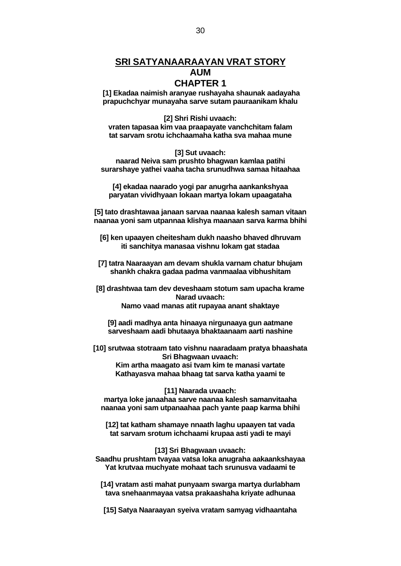## **SRI SATYANAARAAYAN VRAT STORY AUM**

## **CHAPTER 1**

 **[1] Ekadaa naimish aranyae rushayaha shaunak aadayaha prapuchchyar munayaha sarve sutam pauraanikam khalu**

**[2] Shri Rishi uvaach: vraten tapasaa kim vaa praapayate vanchchitam falam tat sarvam srotu ichchaamaha katha sva mahaa mune**

**[3] Sut uvaach:**

**naarad Neiva sam prushto bhagwan kamlaa patihi surarshaye yathei vaaha tacha srunudhwa samaa hitaahaa**

**[4] ekadaa naarado yogi par anugrha aankankshyaa paryatan vividhyaan lokaan martya lokam upaagataha**

**[5] tato drashtawaa janaan sarvaa naanaa kalesh saman vitaan naanaa yoni sam utpannaa klishya maanaan sarva karma bhihi**

**[6] ken upaayen cheitesham dukh naasho bhaved dhruvam iti sanchitya manasaa vishnu lokam gat stadaa**

**[7] tatra Naaraayan am devam shukla varnam chatur bhujam shankh chakra gadaa padma vanmaalaa vibhushitam**

**[8] drashtwaa tam dev deveshaam stotum sam upacha krame Narad uvaach: Namo vaad manas atit rupayaa anant shaktaye**

**[9] aadi madhya anta hinaaya nirgunaaya gun aatmane sarveshaam aadi bhutaaya bhaktaanaam aarti nashine**

**[10] srutwaa stotraam tato vishnu naaradaam pratya bhaashata Sri Bhagwaan uvaach:**

> **Kim artha maagato asi tvam kim te manasi vartate Kathayasva mahaa bhaag tat sarva katha yaami te**

**[11] Naarada uvaach: martya loke janaahaa sarve naanaa kalesh samanvitaaha naanaa yoni sam utpanaahaa pach yante paap karma bhihi**

**[12] tat katham shamaye nnaath laghu upaayen tat vada tat sarvam srotum ichchaami krupaa asti yadi te mayi**

**[13] Sri Bhagwaan uvaach: Saadhu prushtam tvayaa vatsa loka anugraha aakaankshayaa Yat krutvaa muchyate mohaat tach srunusva vadaami te**

**[14] vratam asti mahat punyaam swarga martya durlabham tava snehaanmayaa vatsa prakaashaha kriyate adhunaa**

**[15] Satya Naaraayan syeiva vratam samyag vidhaantaha**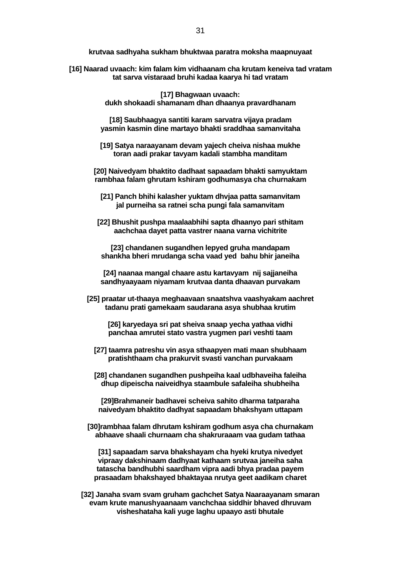**krutvaa sadhyaha sukham bhuktwaa paratra moksha maapnuyaat**

**[16] Naarad uvaach: kim falam kim vidhaanam cha krutam keneiva tad vratam tat sarva vistaraad bruhi kadaa kaarya hi tad vratam**

> **[17] Bhagwaan uvaach: dukh shokaadi shamanam dhan dhaanya pravardhanam**

**[18] Saubhaagya santiti karam sarvatra vijaya pradam yasmin kasmin dine martayo bhakti sraddhaa samanvitaha**

**[19] Satya naraayanam devam yajech cheiva nishaa mukhe toran aadi prakar tavyam kadali stambha manditam**

**[20] Naivedyam bhaktito dadhaat sapaadam bhakti samyuktam rambhaa falam ghrutam kshiram godhumasya cha churnakam**

**[21] Panch bhihi kalasher yuktam dhvjaa patta samanvitam jal purneiha sa ratnei scha pungi fala samanvitam**

**[22] Bhushit pushpa maalaabhihi sapta dhaanyo pari sthitam aachchaa dayet patta vastrer naana varna vichitrite**

**[23] chandanen sugandhen lepyed gruha mandapam shankha bheri mrudanga scha vaad yed bahu bhir janeiha**

**[24] naanaa mangal chaare astu kartavyam nij sajjaneiha sandhyaayaam niyamam krutvaa danta dhaavan purvakam**

**[25] praatar ut-thaaya meghaavaan snaatshva vaashyakam aachret tadanu prati gamekaam saudarana asya shubhaa krutim**

**[26] karyedaya sri pat sheiva snaap yecha yathaa vidhi panchaa amrutei stato vastra yugmen pari veshti taam**

- **[27] taamra patreshu vin asya sthaapyen mati maan shubhaam pratishthaam cha prakurvit svasti vanchan purvakaam**
- **[28] chandanen sugandhen pushpeiha kaal udbhaveiha faleiha dhup dipeischa naiveidhya staambule safaleiha shubheiha**

**[29]Brahmaneir badhavei scheiva sahito dharma tatparaha naivedyam bhaktito dadhyat sapaadam bhakshyam uttapam**

**[30]rambhaa falam dhrutam kshiram godhum asya cha churnakam abhaave shaali churnaam cha shakruraaam vaa gudam tathaa**

**[31] sapaadam sarva bhakshayam cha hyeki krutya nivedyet vipraay dakshinaam dadhyaat kathaam srutvaa janeiha saha tatascha bandhubhi saardham vipra aadi bhya pradaa payem prasaadam bhakshayed bhaktayaa nrutya geet aadikam charet**

**[32] Janaha svam svam gruham gachchet Satya Naaraayanam smaran evam krute manushyaanaam vanchchaa siddhir bhaved dhruvam visheshataha kali yuge laghu upaayo asti bhutale**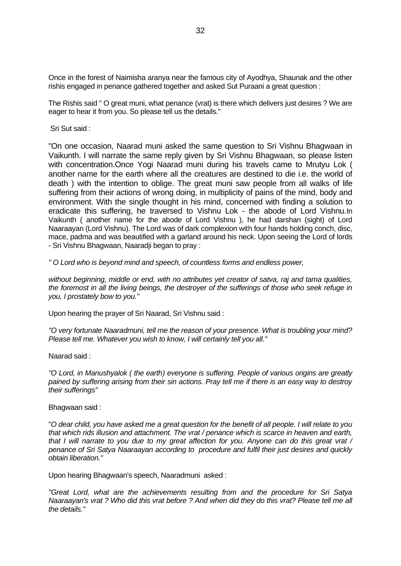Once in the forest of Naimisha aranya near the famous city of Ayodhya, Shaunak and the other rishis engaged in penance gathered together and asked Sut Puraani a great question :

The Rishis said " O great muni, what penance (vrat) is there which delivers just desires ? We are eager to hear it from you. So please tell us the details."

Sri Sut said :

"On one occasion, Naarad muni asked the same question to Sri Vishnu Bhagwaan in Vaikunth. I will narrate the same reply given by Sri Vishnu Bhagwaan, so please listen with concentration.Once Yogi Naarad muni during his travels came to Mrutyu Lok ( another name for the earth where all the creatures are destined to die i.e. the world of death ) with the intention to oblige. The great muni saw people from all walks of life suffering from their actions of wrong doing, in multiplicity of pains of the mind, body and environment. With the single thought in his mind, concerned with finding a solution to eradicate this suffering, he traversed to Vishnu Lok - the abode of Lord Vishnu.In Vaikunth ( another name for the abode of Lord Vishnu ), he had darshan (sight) of Lord Naaraayan (Lord Vishnu). The Lord was of dark complexion with four hands holding conch, disc, mace, padma and was beautified with a garland around his neck. Upon seeing the Lord of lords - Sri Vishnu Bhagwaan, Naaradji began to pray :

*" O Lord who is beyond mind and speech, of countless forms and endless power,* 

*without beginning, middle or end, with no attributes yet creator of satva, raj and tama qualities, the foremost in all the living beings, the destroyer of the sufferings of those who seek refuge in you, I prostately bow to you."*

Upon hearing the prayer of Sri Naarad, Sri Vishnu said :

*"O very fortunate Naaradmuni, tell me the reason of your presence. What is troubling your mind? Please tell me. Whatever you wish to know, I will certainly tell you all."*

Naarad said :

*"O Lord, in Manushyalok ( the earth) everyone is suffering. People of various origins are greatly pained by suffering arising from their sin actions. Pray tell me if there is an easy way to destroy their sufferings"*

Bhagwaan said :

"*O dear child, you have asked me a great question for the benefit of all people. I will relate to you that which rids illusion and attachment. The vrat / penance which is scarce in heaven and earth, that I will narrate to you due to my great affection for you. Anyone can do this great vrat / penance of Sri Satya Naaraayan according to procedure and fulfil their just desires and quickly obtain liberation."* 

Upon hearing Bhagwaan's speech, Naaradmuni asked :

*"Great Lord, what are the achievements resulting from and the procedure for Sri Satya Naaraayan's vrat ? Who did this vrat before ? And when did they do this vrat? Please tell me all the details."*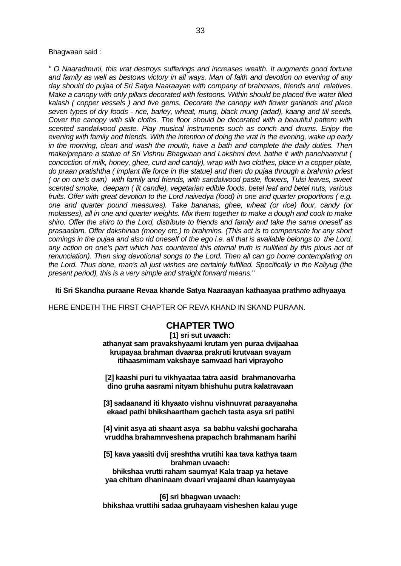Bhagwaan said :

*" O Naaradmuni, this vrat destroys sufferings and increases wealth. It augments good fortune and family as well as bestows victory in all ways. Man of faith and devotion on evening of any day should do pujaa of Sri Satya Naaraayan with company of brahmans, friends and relatives. Make a canopy with only pillars decorated with festoons. Within should be placed five water filled kalash ( copper vessels ) and five gems. Decorate the canopy with flower garlands and place seven types of dry foods - rice, barley, wheat, mung, black mung (adad), kaang and till seeds. Cover the canopy with silk cloths. The floor should be decorated with a beautiful pattern with scented sandalwood paste. Play musical instruments such as conch and drums. Enjoy the evening with family and friends. With the intention of doing the vrat in the evening, wake up early in the morning, clean and wash the mouth, have a bath and complete the daily duties. Then make/prepare a statue of Sri Vishnu Bhagwaan and Lakshmi devi. bathe it with panchaamrut ( concoction of milk, honey, ghee, curd and candy), wrap with two clothes, place in a copper plate, do praan pratishtha ( implant life force in the statue) and then do pujaa through a brahmin priest ( or on one's own) with family and friends, with sandalwood paste, flowers, Tulsi leaves, sweet scented smoke, deepam ( lit candle), vegetarian edible foods, betel leaf and betel nuts, various fruits. Offer with great devotion to the Lord naivedya (food) in one and quarter proportions ( e.g. one and quarter pound measures). Take bananas, ghee, wheat (or rice) flour, candy (or molasses), all in one and quarter weights. Mix them together to make a dough and cook to make shiro. Offer the shiro to the Lord, distribute to friends and family and take the same oneself as prasaadam. Offer dakshinaa (money etc.) to brahmins. (This act is to compensate for any short comings in the pujaa and also rid oneself of the ego i.e. all that is available belongs to the Lord,*  any action on one's part which has countered this eternal truth is nullified by this pious act of *renunciation). Then sing devotional songs to the Lord. Then all can go home contemplating on the Lord. Thus done, man's all just wishes are certainly fulfilled. Specifically in the Kaliyug (the present period), this is a very simple and straight forward means.*"

#### **Iti Sri Skandha puraane Revaa khande Satya Naaraayan kathaayaa prathmo adhyaaya**

HERE ENDETH THE FIRST CHAPTER OF REVA KHAND IN SKAND PURAAN.

## **CHAPTER TWO**

**[1] sri sut uvaach: athanyat sam pravakshyaami krutam yen puraa dvijaahaa krupayaa brahman dvaaraa prakruti krutvaan svayam itihaasmimam vakshaye samvaad hari viprayoho**

**[2] kaashi puri tu vikhyaataa tatra aasid brahmanovarha dino gruha aasrami nityam bhishuhu putra kalatravaan**

**[3] sadaanand iti khyaato vishnu vishnuvrat paraayanaha ekaad pathi bhikshaartham gachch tasta asya sri patihi**

**[4] vinit asya ati shaant asya sa babhu vakshi gocharaha vruddha brahamnveshena prapachch brahmanam harihi**

**[5] kava yaasiti dvij sreshtha vrutihi kaa tava kathya taam brahman uvaach:**

**bhikshaa vrutti raham saumya! Kala traap ya hetave yaa chitum dhaninaam dvaari vrajaami dhan kaamyayaa**

**[6] sri bhagwan uvaach: bhikshaa vruttihi sadaa gruhayaam visheshen kalau yuge**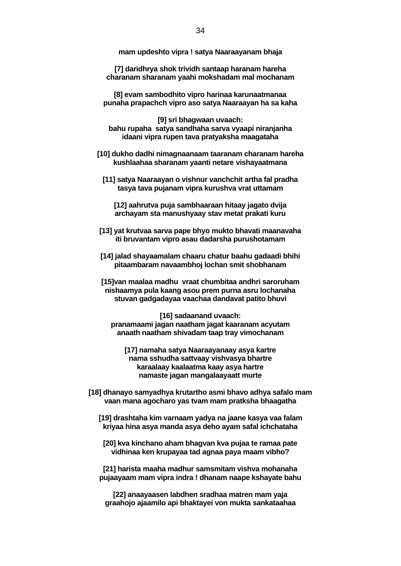**mam updeshto vipra ! satya Naaraayanam bhaja**

**[7] daridhrya shok trividh santaap haranam hareha charanam sharanam yaahi mokshadam mal mochanam**

**[8] evam sambodhito vipro harinaa karunaatmanaa punaha prapachch vipro aso satya Naaraayan ha sa kaha**

**[9] sri bhagwaan uvaach: bahu rupaha satya sandhaha sarva vyaapi niranjanha idaani vipra rupen tava pratyaksha maagataha**

**[10] dukho dadhi nimagnaanaam taaranam charanam hareha kushlaahaa sharanam yaanti netare vishayaatmana**

**[11] satya Naaraayan o vishnur vanchchit artha fal pradha tasya tava pujanam vipra kurushva vrat uttamam**

**[12] aahrutva puja sambhaaraan hitaay jagato dvija archayam sta manushyaay stav metat prakati kuru**

- **[13] yat krutvaa sarva pape bhyo mukto bhavati maanavaha iti bruvantam vipro asau dadarsha purushotamam**
- **[14] jalad shayaamalam chaaru chatur baahu gadaadi bhihi pitaambaram navaambhoj lochan smit shobhanam**

**[15]van maalaa madhu vraat chumbitaa andhri saroruham nishaamya pula kaang asou prem purna asru lochanaha stuvan gadgadayaa vaachaa dandavat patito bhuvi**

**[16] sadaanand uvaach: pranamaami jagan naatham jagat kaaranam acyutam anaath naatham shivadam taap tray vimochanam**

**[17] namaha satya Naaraayanaay asya kartre nama sshudha sattvaay vishvasya bhartre karaalaay kaalaatma kaay asya hartre namaste jagan mangalaayaatt murte**

- **[18] dhanayo samyadhya krutartho asmi bhavo adhya safalo mam vaan mana agocharo yas tvam mam pratksha bhaagatha**
	- **[19] drashtaha kim varnaam yadya na jaane kasya vaa falam kriyaa hina asya manda asya deho ayam safal ichchataha**
	- **[20] kva kinchano aham bhagvan kva pujaa te ramaa pate vidhinaa ken krupayaa tad agnaa paya maam vibho?**

**[21] harista maaha madhur samsmitam vishva mohanaha pujaayaam mam vipra indra ! dhanam naape kshayate bahu**

**[22] anaayaasen labdhen sradhaa matren mam yaja graahojo ajaamilo api bhaktayei von mukta sankataahaa**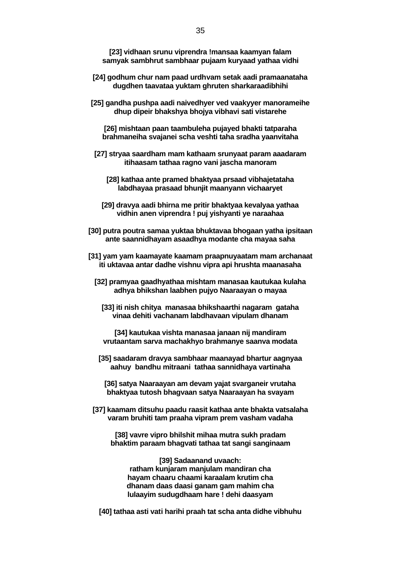**[23] vidhaan srunu viprendra !mansaa kaamyan falam samyak sambhrut sambhaar pujaam kuryaad yathaa vidhi**

- **[24] godhum chur nam paad urdhvam setak aadi pramaanataha dugdhen taavataa yuktam ghruten sharkaraadibhihi**
- **[25] gandha pushpa aadi naivedhyer ved vaakyyer manorameihe dhup dipeir bhakshya bhojya vibhavi sati vistarehe**

**[26] mishtaan paan taambuleha pujayed bhakti tatparaha brahmaneiha svajanei scha veshti taha sradha yaanvitaha**

- **[27] stryaa saardham mam kathaam srunyaat param aaadaram itihaasam tathaa ragno vani jascha manoram**
	- **[28] kathaa ante pramed bhaktyaa prsaad vibhajetataha labdhayaa prasaad bhunjit maanyann vichaaryet**
	- **[29] dravya aadi bhirna me pritir bhaktyaa kevalyaa yathaa vidhin anen viprendra ! puj yishyanti ye naraahaa**
- **[30] putra poutra samaa yuktaa bhuktavaa bhogaan yatha ipsitaan ante saannidhayam asaadhya modante cha mayaa saha**
- **[31] yam yam kaamayate kaamam praapnuyaatam mam archanaat iti uktavaa antar dadhe vishnu vipra api hrushta maanasaha**
	- **[32] pramyaa gaadhyathaa mishtam manasaa kautukaa kulaha adhya bhikshan laabhen pujyo Naaraayan o mayaa**
		- **[33] iti nish chitya manasaa bhikshaarthi nagaram gataha vinaa dehiti vachanam labdhavaan vipulam dhanam**
		- **[34] kautukaa vishta manasaa janaan nij mandiram vrutaantam sarva machakhyo brahmanye saanva modata**
	- **[35] saadaram dravya sambhaar maanayad bhartur aagnyaa aahuy bandhu mitraani tathaa sannidhaya vartinaha**
		- **[36] satya Naaraayan am devam yajat svarganeir vrutaha bhaktyaa tutosh bhagvaan satya Naaraayan ha svayam**
- **[37] kaamam ditsuhu paadu raasit kathaa ante bhakta vatsalaha varam bruhiti tam praaha vipram prem vasham vadaha**
	- **[38] vavre vipro bhilshit mihaa mutra sukh pradam bhaktim paraam bhagvati tathaa tat sangi sanginaam**

**[39] Sadaanand uvaach: ratham kunjaram manjulam mandiran cha hayam chaaru chaami karaalam krutim cha dhanam daas daasi ganam gam mahim cha lulaayim sudugdhaam hare ! dehi daasyam**

**[40] tathaa asti vati harihi praah tat scha anta didhe vibhuhu**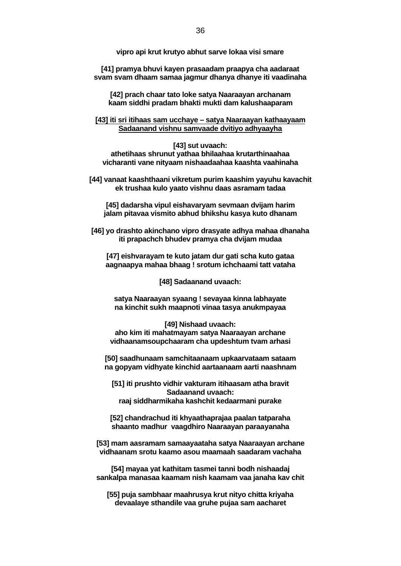**vipro api krut krutyo abhut sarve lokaa visi smare**

**[41] pramya bhuvi kayen prasaadam praapya cha aadaraat svam svam dhaam samaa jagmur dhanya dhanye iti vaadinaha**

**[42] prach chaar tato loke satya Naaraayan archanam kaam siddhi pradam bhakti mukti dam kalushaaparam**

**[43] iti sri itihaas sam ucchaye – satya Naaraayan kathaayaam Sadaanand vishnu samvaade dvitiyo adhyaayha**

**[43] sut uvaach: athetihaas shrunut yathaa bhilaahaa krutarthinaahaa vicharanti vane nityaam nishaadaahaa kaashta vaahinaha**

**[44] vanaat kaashthaani vikretum purim kaashim yayuhu kavachit ek trushaa kulo yaato vishnu daas asramam tadaa**

**[45] dadarsha vipul eishavaryam sevmaan dvijam harim jalam pitavaa vismito abhud bhikshu kasya kuto dhanam**

**[46] yo drashto akinchano vipro drasyate adhya mahaa dhanaha iti prapachch bhudev pramya cha dvijam mudaa**

**[47] eishvarayam te kuto jatam dur gati scha kuto gataa aagnaapya mahaa bhaag ! srotum ichchaami tatt vataha**

**[48] Sadaanand uvaach:**

**satya Naaraayan syaang ! sevayaa kinna labhayate na kinchit sukh maapnoti vinaa tasya anukmpayaa**

**[49] Nishaad uvaach: aho kim iti mahatmayam satya Naaraayan archane vidhaanamsoupchaaram cha updeshtum tvam arhasi**

**[50] saadhunaam samchitaanaam upkaarvataam sataam na gopyam vidhyate kinchid aartaanaam aarti naashnam**

**[51] iti prushto vidhir vakturam itihaasam atha bravit Sadaanand uvaach: raaj siddharmikaha kashchit kedaarmani purake**

**[52] chandrachud iti khyaathaprajaa paalan tatparaha shaanto madhur vaagdhiro Naaraayan paraayanaha**

**[53] mam aasramam samaayaataha satya Naaraayan archane vidhaanam srotu kaamo asou maamaah saadaram vachaha**

**[54] mayaa yat kathitam tasmei tanni bodh nishaadaj sankalpa manasaa kaamam nish kaamam vaa janaha kav chit**

**[55] puja sambhaar maahrusya krut nityo chitta kriyaha devaalaye sthandile vaa gruhe pujaa sam aacharet**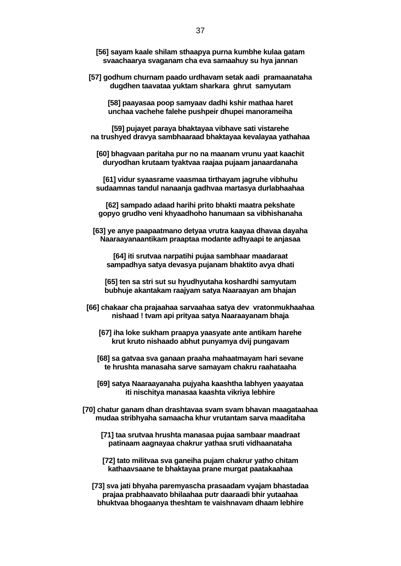- **[56] sayam kaale shilam sthaapya purna kumbhe kulaa gatam svaachaarya svaganam cha eva samaahuy su hya jannan**
- **[57] godhum churnam paado urdhavam setak aadi pramaanataha dugdhen taavataa yuktam sharkara ghrut samyutam**

**[58] paayasaa poop samyaav dadhi kshir mathaa haret unchaa vachehe falehe pushpeir dhupei manorameiha**

**[59] pujayet paraya bhaktayaa vibhave sati vistarehe na trushyed dravya sambhaaraad bhaktayaa kevalayaa yathahaa**

**[60] bhagvaan paritaha pur no na maanam vrunu yaat kaachit duryodhan krutaam tyaktvaa raajaa pujaam janaardanaha**

**[61] vidur syaasrame vaasmaa tirthayam jagruhe vibhuhu sudaamnas tandul nanaanja gadhvaa martasya durlabhaahaa**

**[62] sampado adaad harihi prito bhakti maatra pekshate gopyo grudho veni khyaadhoho hanumaan sa vibhishanaha**

**[63] ye anye paapaatmano detyaa vrutra kaayaa dhavaa dayaha Naaraayanaantikam praaptaa modante adhyaapi te anjasaa**

**[64] iti srutvaa narpatihi pujaa sambhaar maadaraat sampadhya satya devasya pujanam bhaktito avya dhati**

**[65] ten sa stri sut su hyudhyutaha koshardhi samyutam bubhuje akantakam raajyam satya Naaraayan am bhajan**

- **[66] chakaar cha prajaahaa sarvaahaa satya dev vratonmukhaahaa nishaad ! tvam api prityaa satya Naaraayanam bhaja**
	- **[67] iha loke sukham praapya yaasyate ante antikam harehe krut kruto nishaado abhut punyamya dvij pungavam**
	- **[68] sa gatvaa sva ganaan praaha mahaatmayam hari sevane te hrushta manasaha sarve samayam chakru raahataaha**
	- **[69] satya Naaraayanaha pujyaha kaashtha labhyen yaayataa iti nischitya manasaa kaashta vikriya lebhire**
- **[70] chatur ganam dhan drashtavaa svam svam bhavan maagataahaa mudaa stribhyaha samaacha khur vrutantam sarva maaditaha**
	- **[71] taa srutvaa hrushta manasaa pujaa sambaar maadraat patinaam aagnayaa chakrur yathaa sruti vidhaanataha**
	- **[72] tato militvaa sva ganeiha pujam chakrur yatho chitam kathaavsaane te bhaktayaa prane murgat paatakaahaa**
	- **[73] sva jati bhyaha paremyascha prasaadam vyajam bhastadaa prajaa prabhaavato bhilaahaa putr daaraadi bhir yutaahaa bhuktvaa bhogaanya theshtam te vaishnavam dhaam lebhire**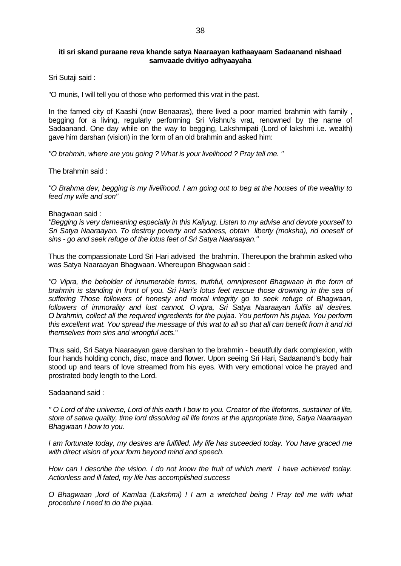#### **iti sri skand puraane reva khande satya Naaraayan kathaayaam Sadaanand nishaad samvaade dvitiyo adhyaayaha**

Sri Sutaji said :

"O munis, I will tell you of those who performed this vrat in the past.

In the famed city of Kaashi (now Benaaras), there lived a poor married brahmin with family , begging for a living, regularly performing Sri Vishnu's vrat, renowned by the name of Sadaanand. One day while on the way to begging, Lakshmipati (Lord of lakshmi i.e. wealth) gave him darshan (vision) in the form of an old brahmin and asked him:

*"O brahmin, where are you going ? What is your livelihood ? Pray tell me. "*

The brahmin said :

*"O Brahma dev, begging is my livelihood. I am going out to beg at the houses of the wealthy to feed my wife and son"*

#### Bhagwaan said :

*"Begging is very demeaning especially in this Kaliyug. Listen to my advise and devote yourself to Sri Satya Naaraayan. To destroy poverty and sadness, obtain liberty (moksha), rid oneself of sins - go and seek refuge of the lotus feet of Sri Satya Naaraayan."* 

Thus the compassionate Lord Sri Hari advised the brahmin. Thereupon the brahmin asked who was Satya Naaraayan Bhagwaan. Whereupon Bhagwaan said :

*"O Vipra, the beholder of innumerable forms, truthful, omnipresent Bhagwaan in the form of brahmin is standing in front of you. Sri Hari's lotus feet rescue those drowning in the sea of suffering Those followers of honesty and moral integrity go to seek refuge of Bhagwaan, followers of immorality and lust cannot. O vipra, Sri Satya Naaraayan fulfils all desires. O brahmin, collect all the required ingredients for the pujaa. You perform his pujaa. You perform this excellent vrat. You spread the message of this vrat to all so that all can benefit from it and rid themselves from sins and wrongful acts.*"

Thus said, Sri Satya Naaraayan gave darshan to the brahmin - beautifully dark complexion, with four hands holding conch, disc, mace and flower. Upon seeing Sri Hari, Sadaanand's body hair stood up and tears of love streamed from his eyes. With very emotional voice he prayed and prostrated body length to the Lord.

Sadaanand said :

*" O Lord of the universe, Lord of this earth I bow to you. Creator of the lifeforms, sustainer of life, store of satwa quality, time lord dissolving all life forms at the appropriate time, Satya Naaraayan Bhagwaan I bow to you.*

*I am fortunate today, my desires are fulfilled. My life has suceeded today. You have graced me with direct vision of your form beyond mind and speech.* 

*How can I describe the vision. I do not know the fruit of which merit I have achieved today. Actionless and ill fated, my life has accomplished success*

*O Bhagwaan ,lord of Kamlaa (Lakshmi) ! I am a wretched being ! Pray tell me with what procedure I need to do the pujaa.*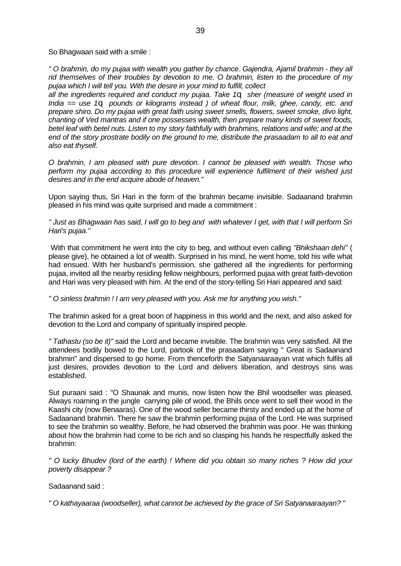So Bhagwaan said with a smile :

*" O brahmin, do my pujaa with wealth you gather by chance. Gajendra, Ajamil brahmin - they all rid themselves of their troubles by devotion to me. O brahmin, listen to the procedure of my pujaa which I will tell you. With the desire in your mind to fulfill, collect* 

*all the ingredients required and conduct my pujaa. Take 1q sher (measure of weight used in India == use 1q pounds or kilograms instead ) of wheat flour, milk, ghee, candy, etc. and prepare shiro. Do my pujaa with great faith using sweet smells, flowers, sweet smoke, divo light, chanting of Ved mantras and if one possesses wealth, then prepare many kinds of sweet foods, betel leaf with betel nuts. Listen to my story faithfully with brahmins, relations and wife; and at the end of the story prostrate bodily on the ground to me, distribute the prasaadam to all to eat and also eat thyself.*

*O brahmin, I am pleased with pure devotion. I cannot be pleased with wealth. Those who perform my pujaa according to this procedure will experience fulfilment of their wished just desires and in the end acquire abode of heaven."*

Upon saying thus, Sri Hari in the form of the brahmin became invisible. Sadaanand brahmin pleased in his mind was quite surprised and made a commitment :

*" Just as Bhagwaan has said, I will go to beg and with whatever I get, with that I will perform Sri Hari's pujaa."*

 With that commitment he went into the city to beg, and without even calling *"Bhikshaan dehi"* ( please give), he obtained a lot of wealth. Surprised in his mind, he went home, told his wife what had ensued. With her husband's permission, she gathered all the ingredients for performing pujaa, invited all the nearby residing fellow neighbours, performed pujaa with great faith-devotion and Hari was very pleased with him. At the end of the story-telling Sri Hari appeared and said:

*" O sinless brahmin ! I am very pleased with you. Ask me for anything you wish."*

The brahmin asked for a great boon of happiness in this world and the next, and also asked for devotion to the Lord and company of spiritually inspired people.

*" Tathastu (so be it)"* said the Lord and became invisible. The brahmin was very satisfied. All the attendees bodily bowed to the Lord, partook of the prasaadam saying " Great is Sadaanand brahmin" and dispersed to go home. From thenceforth the Satyanaaraayan vrat which fulfils all just desires, provides devotion to the Lord and delivers liberation, and destroys sins was established.

Sut puraani said : "O Shaunak and munis, now listen how the Bhil woodseller was pleased. Always roaming in the jungle carrying pile of wood, the Bhils once went to sell their wood in the Kaashi city (now Benaaras). One of the wood seller became thirsty and ended up at the home of Sadaanand brahmin. There he saw the brahmin performing pujaa of the Lord. He was surprised to see the brahmin so wealthy. Before, he had observed the brahmin was poor. He was thinking about how the brahmin had come to be rich and so clasping his hands he respectfully asked the brahmin:

*" O lucky Bhudev (lord of the earth) ! Where did you obtain so many riches ? How did your poverty disappear ?*

Sadaanand said :

*" O kathayaaraa (woodseller), what cannot be achieved by the grace of Sri Satyanaaraayan? "*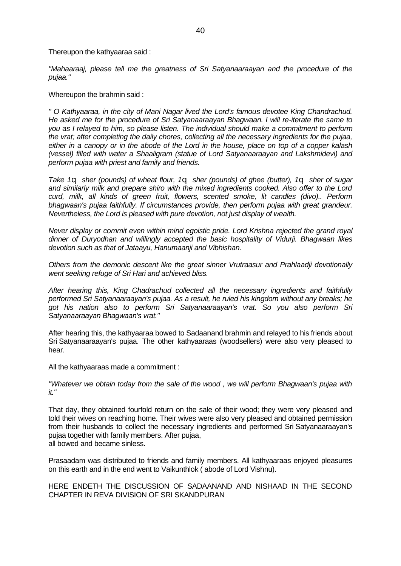Thereupon the kathyaaraa said :

*"Mahaaraaj, please tell me the greatness of Sri Satyanaaraayan and the procedure of the pujaa."*

Whereupon the brahmin said :

*" O Kathyaaraa, in the city of Mani Nagar lived the Lord's famous devotee King Chandrachud. He asked me for the procedure of Sri Satyanaaraayan Bhagwaan. I will re-iterate the same to you as I relayed to him, so please listen. The individual should make a commitment to perform the vrat; after completing the daily chores, collecting all the necessary ingredients for the pujaa, either in a canopy or in the abode of the Lord in the house, place on top of a copper kalash (vessel) filled with water a Shaaligram (statue of Lord Satyanaaraayan and Lakshmidevi) and perform pujaa with priest and family and friends.*

*Take 1q sher (pounds) of wheat flour, 1q sher (pounds) of ghee (butter), 1q sher of sugar and similarly milk and prepare shiro with the mixed ingredients cooked. Also offer to the Lord curd, milk, all kinds of green fruit, flowers, scented smoke, lit candles (divo).. Perform bhagwaan's pujaa faithfully. If circumstances provide, then perform pujaa with great grandeur. Nevertheless, the Lord is pleased with pure devotion, not just display of wealth.*

*Never display or commit even within mind egoistic pride. Lord Krishna rejected the grand royal dinner of Duryodhan and willingly accepted the basic hospitality of Vidurji. Bhagwaan likes devotion such as that of Jataayu, Hanumaanji and Vibhishan.*

*Others from the demonic descent like the great sinner Vrutraasur and Prahlaadji devotionally went seeking refuge of Sri Hari and achieved bliss.*

*After hearing this, King Chadrachud collected all the necessary ingredients and faithfully performed Sri Satyanaaraayan's pujaa. As a result, he ruled his kingdom without any breaks; he got his nation also to perform Sri Satyanaaraayan's vrat. So you also perform Sri Satyanaaraayan Bhagwaan's vrat."*

After hearing this, the kathyaaraa bowed to Sadaanand brahmin and relayed to his friends about Sri Satyanaaraayan's pujaa. The other kathyaaraas (woodsellers) were also very pleased to hear.

All the kathyaaraas made a commitment :

*"Whatever we obtain today from the sale of the wood , we will perform Bhagwaan's pujaa with it."*

That day, they obtained fourfold return on the sale of their wood; they were very pleased and told their wives on reaching home. Their wives were also very pleased and obtained permission from their husbands to collect the necessary ingredients and performed Sri Satyanaaraayan's pujaa together with family members. After pujaa, all bowed and became sinless.

Prasaadam was distributed to friends and family members. All kathyaaraas enjoyed pleasures on this earth and in the end went to Vaikunthlok ( abode of Lord Vishnu).

HERE ENDETH THE DISCUSSION OF SADAANAND AND NISHAAD IN THE SECOND CHAPTER IN REVA DIVISION OF SRI SKANDPURAN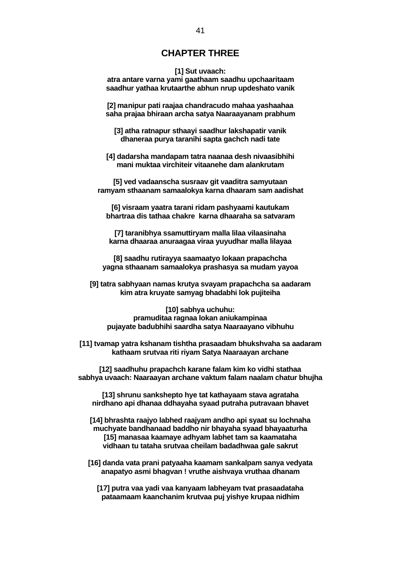## **CHAPTER THREE**

#### **[1] Sut uvaach:**

**atra antare varna yami gaathaam saadhu upchaaritaam saadhur yathaa krutaarthe abhun nrup updeshato vanik**

**[2] manipur pati raajaa chandracudo mahaa yashaahaa saha prajaa bhiraan archa satya Naaraayanam prabhum**

**[3] atha ratnapur sthaayi saadhur lakshapatir vanik dhaneraa purya taranihi sapta gachch nadi tate**

**[4] dadarsha mandapam tatra naanaa desh nivaasibhihi mani muktaa virchiteir vitaanehe dam alankrutam**

**[5] ved vadaanscha susraav git vaaditra samyutaan ramyam sthaanam samaalokya karna dhaaram sam aadishat**

**[6] visraam yaatra tarani ridam pashyaami kautukam bhartraa dis tathaa chakre karna dhaaraha sa satvaram**

**[7] taranibhya ssamuttiryam malla lilaa vilaasinaha karna dhaaraa anuraagaa viraa yuyudhar malla lilayaa**

**[8] saadhu rutirayya saamaatyo lokaan prapachcha yagna sthaanam samaalokya prashasya sa mudam yayoa**

**[9] tatra sabhyaan namas krutya svayam prapachcha sa aadaram kim atra kruyate samyag bhadabhi lok pujiteiha**

**[10] sabhya uchuhu: pramuditaa ragnaa lokan aniukampinaa pujayate badubhihi saardha satya Naaraayano vibhuhu**

**[11] tvamap yatra kshanam tishtha prasaadam bhukshvaha sa aadaram kathaam srutvaa riti riyam Satya Naaraayan archane**

**[12] saadhuhu prapachch karane falam kim ko vidhi stathaa sabhya uvaach: Naaraayan archane vaktum falam naalam chatur bhujha**

**[13] shrunu sankshepto hye tat kathayaam stava agrataha nirdhano api dhanaa ddhayaha syaad putraha putravaan bhavet**

**[14] bhrashta raajyo labhed raajyam andho api syaat su lochnaha muchyate bandhanaad baddho nir bhayaha syaad bhayaaturha [15] manasaa kaamaye adhyam labhet tam sa kaamataha vidhaan tu tataha srutvaa cheilam badadhwaa gale sakrut**

**[16] danda vata prani patyaaha kaamam sankalpam sanya vedyata anapatyo asmi bhagvan ! vruthe aishvaya vruthaa dhanam**

**[17] putra vaa yadi vaa kanyaam labheyam tvat prasaadataha pataamaam kaanchanim krutvaa puj yishye krupaa nidhim**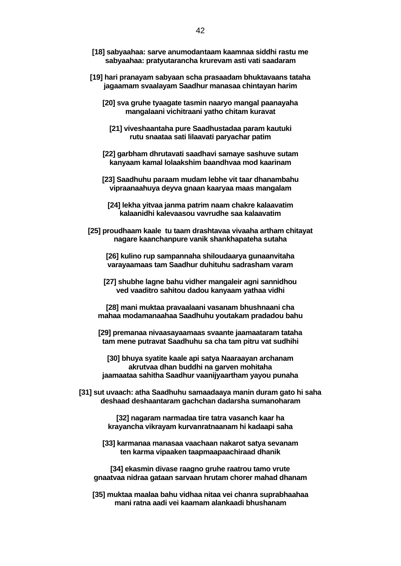- **[18] sabyaahaa: sarve anumodantaam kaamnaa siddhi rastu me sabyaahaa: pratyutarancha krurevam asti vati saadaram**
- **[19] hari pranayam sabyaan scha prasaadam bhuktavaans tataha jagaamam svaalayam Saadhur manasaa chintayan harim**
	- **[20] sva gruhe tyaagate tasmin naaryo mangal paanayaha mangalaani vichitraani yatho chitam kuravat**
		- **[21] viveshaantaha pure Saadhustadaa param kautuki rutu snaataa sati lilaavati paryachar patim**
	- **[22] garbham dhrutavati saadhavi samaye sashuve sutam kanyaam kamal lolaakshim baandhvaa mod kaarinam**
	- **[23] Saadhuhu paraam mudam lebhe vit taar dhanambahu vipraanaahuya deyva gnaan kaaryaa maas mangalam**
		- **[24] lekha yitvaa janma patrim naam chakre kalaavatim kalaanidhi kalevaasou vavrudhe saa kalaavatim**
- **[25] proudhaam kaale tu taam drashtavaa vivaaha artham chitayat nagare kaanchanpure vanik shankhapateha sutaha**
	- **[26] kulino rup sampannaha shiloudaarya gunaanvitaha varayaamaas tam Saadhur duhituhu sadrasham varam**
	- **[27] shubhe lagne bahu vidher mangaleir agni sannidhou ved vaaditro sahitou dadou kanyaam yathaa vidhi**
	- **[28] mani muktaa pravaalaani vasanam bhushnaani cha mahaa modamanaahaa Saadhuhu youtakam pradadou bahu**
	- **[29] premanaa nivaasayaamaas svaante jaamaataram tataha tam mene putravat Saadhuhu sa cha tam pitru vat sudhihi**
		- **[30] bhuya syatite kaale api satya Naaraayan archanam akrutvaa dhan buddhi na garven mohitaha jaamaataa sahitha Saadhur vaanijyaartham yayou punaha**
- **[31] sut uvaach: atha Saadhuhu samaadaaya manin duram gato hi saha deshaad deshaantaram gachchan dadarsha sumanoharam**

**[32] nagaram narmadaa tire tatra vasanch kaar ha krayancha vikrayam kurvanratnaanam hi kadaapi saha**

- **[33] karmanaa manasaa vaachaan nakarot satya sevanam ten karma vipaaken taapmaapaachiraad dhanik**
- **[34] ekasmin divase raagno gruhe raatrou tamo vrute gnaatvaa nidraa gataan sarvaan hrutam chorer mahad dhanam**
- **[35] muktaa maalaa bahu vidhaa nitaa vei chanra suprabhaahaa mani ratna aadi vei kaamam alankaadi bhushanam**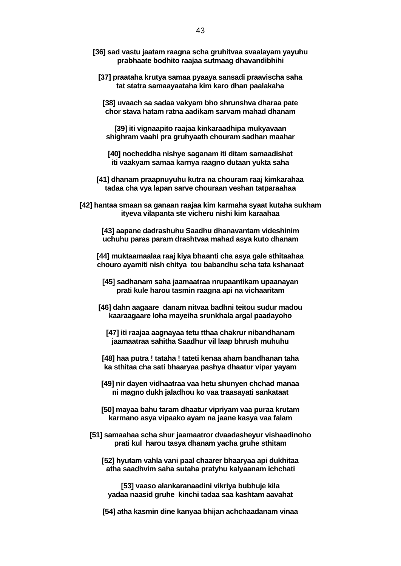- **[36] sad vastu jaatam raagna scha gruhitvaa svaalayam yayuhu prabhaate bodhito raajaa sutmaag dhavandibhihi**
	- **[37] praataha krutya samaa pyaaya sansadi praavischa saha tat statra samaayaataha kim karo dhan paalakaha**

**[38] uvaach sa sadaa vakyam bho shrunshva dharaa pate chor stava hatam ratna aadikam sarvam mahad dhanam**

**[39] iti vignaapito raajaa kinkaraadhipa mukyavaan shighram vaahi pra gruhyaath chouram sadhan maahar**

**[40] nocheddha nishye saganam iti ditam samaadishat iti vaakyam samaa karnya raagno dutaan yukta saha**

**[41] dhanam praapnuyuhu kutra na chouram raaj kimkarahaa tadaa cha vya lapan sarve chouraan veshan tatparaahaa**

**[42] hantaa smaan sa ganaan raajaa kim karmaha syaat kutaha sukham ityeva vilapanta ste vicheru nishi kim karaahaa**

**[43] aapane dadrashuhu Saadhu dhanavantam videshinim uchuhu paras param drashtvaa mahad asya kuto dhanam**

**[44] muktaamaalaa raaj kiya bhaanti cha asya gale sthitaahaa chouro ayamiti nish chitya tou babandhu scha tata kshanaat**

**[45] sadhanam saha jaamaatraa nrupaantikam upaanayan prati kule harou tasmin raagna api na vichaaritam**

**[46] dahn aagaare danam nitvaa badhni teitou sudur madou kaaraagaare loha mayeiha srunkhala argal paadayoho**

**[47] iti raajaa aagnayaa tetu tthaa chakrur nibandhanam jaamaatraa sahitha Saadhur vil laap bhrush muhuhu**

**[48] haa putra ! tataha ! tateti kenaa aham bandhanan taha ka sthitaa cha sati bhaaryaa pashya dhaatur vipar yayam**

**[49] nir dayen vidhaatraa vaa hetu shunyen chchad manaa ni magno dukh jaladhou ko vaa traasayati sankataat**

**[50] mayaa bahu taram dhaatur vipriyam vaa puraa krutam karmano asya vipaako ayam na jaane kasya vaa falam**

**[51] samaahaa scha shur jaamaatror dvaadasheyur vishaadinoho prati kul harou tasya dhanam yacha gruhe sthitam**

**[52] hyutam vahla vani paal chaarer bhaaryaa api dukhitaa atha saadhvim saha sutaha pratyhu kalyaanam ichchati**

**[53] vaaso alankaranaadini vikriya bubhuje kila yadaa naasid gruhe kinchi tadaa saa kashtam aavahat**

**[54] atha kasmin dine kanyaa bhijan achchaadanam vinaa**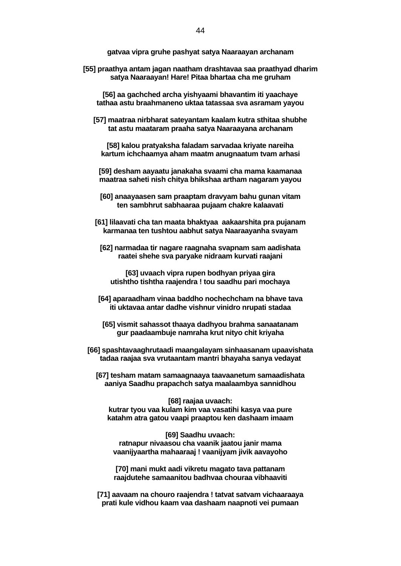**gatvaa vipra gruhe pashyat satya Naaraayan archanam**

**[55] praathya antam jagan naatham drashtavaa saa praathyad dharim satya Naaraayan! Hare! Pitaa bhartaa cha me gruham**

**[56] aa gachched archa yishyaami bhavantim iti yaachaye tathaa astu braahmaneno uktaa tatassaa sva asramam yayou**

**[57] maatraa nirbharat sateyantam kaalam kutra sthitaa shubhe tat astu maataram praaha satya Naaraayana archanam**

**[58] kalou pratyaksha faladam sarvadaa kriyate nareiha kartum ichchaamya aham maatm anugnaatum tvam arhasi**

**[59] desham aayaatu janakaha svaami cha mama kaamanaa maatraa saheti nish chitya bhikshaa artham nagaram yayou**

**[60] anaayaasen sam praaptam dravyam bahu gunan vitam ten sambhrut sabhaaraa pujaam chakre kalaavati**

**[61] lilaavati cha tan maata bhaktyaa aakaarshita pra pujanam karmanaa ten tushtou aabhut satya Naaraayanha svayam**

**[62] narmadaa tir nagare raagnaha svapnam sam aadishata raatei shehe sva paryake nidraam kurvati raajani**

**[63] uvaach vipra rupen bodhyan priyaa gira utishtho tishtha raajendra ! tou saadhu pari mochaya**

**[64] aparaadham vinaa baddho nochechcham na bhave tava iti uktavaa antar dadhe vishnur vinidro nrupati stadaa**

**[65] vismit sahassot thaaya dadhyou brahma sanaatanam gur paadaambuje namraha krut nityo chit kriyaha**

**[66] spashtavaaghrutaadi maangalayam sinhaasanam upaavishata tadaa raajaa sva vrutaantam mantri bhayaha sanya vedayat**

**[67] tesham matam samaagnaaya taavaanetum samaadishata aaniya Saadhu prapachch satya maalaambya sannidhou**

**[68] raajaa uvaach: kutrar tyou vaa kulam kim vaa vasatihi kasya vaa pure katahm atra gatou vaapi praaptou ken dashaam imaam**

**[69] Saadhu uvaach: ratnapur nivaasou cha vaanik jaatou janir mama vaanijyaartha mahaaraaj ! vaanijyam jivik aavayoho**

**[70] mani mukt aadi vikretu magato tava pattanam raajdutehe samaanitou badhvaa chouraa vibhaaviti**

**[71] aavaam na chouro raajendra ! tatvat satvam vichaaraaya prati kule vidhou kaam vaa dashaam naapnoti vei pumaan**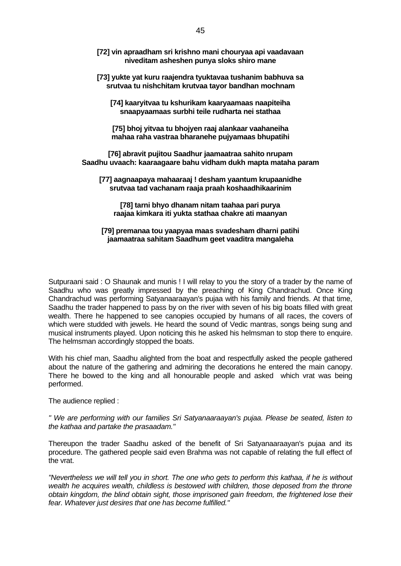- **[72] vin apraadham sri krishno mani chouryaa api vaadavaan niveditam asheshen punya sloks shiro mane**
- **[73] yukte yat kuru raajendra tyuktavaa tushanim babhuva sa srutvaa tu nishchitam krutvaa tayor bandhan mochnam**

**[74] kaaryitvaa tu kshurikam kaaryaamaas naapiteiha snaapyaamaas surbhi teile rudharta nei stathaa** 

**[75] bhoj yitvaa tu bhojyen raaj alankaar vaahaneiha mahaa raha vastraa bharanehe pujyamaas bhupatihi**

**[76] abravit pujitou Saadhur jaamaatraa sahito nrupam Saadhu uvaach: kaaraagaare bahu vidham dukh mapta mataha param**

**[77] aagnaapaya mahaaraaj ! desham yaantum krupaanidhe srutvaa tad vachanam raaja praah koshaadhikaarinim**

**[78] tarni bhyo dhanam nitam taahaa pari purya raajaa kimkara iti yukta stathaa chakre ati maanyan**

#### **[79] premanaa tou yaapyaa maas svadesham dharni patihi jaamaatraa sahitam Saadhum geet vaaditra mangaleha**

Sutpuraani said : O Shaunak and munis ! I will relay to you the story of a trader by the name of Saadhu who was greatly impressed by the preaching of King Chandrachud. Once King Chandrachud was performing Satyanaaraayan's pujaa with his family and friends. At that time, Saadhu the trader happened to pass by on the river with seven of his big boats filled with great wealth. There he happened to see canopies occupied by humans of all races, the covers of which were studded with jewels. He heard the sound of Vedic mantras, songs being sung and musical instruments played. Upon noticing this he asked his helmsman to stop there to enquire. The helmsman accordingly stopped the boats.

With his chief man, Saadhu alighted from the boat and respectfully asked the people gathered about the nature of the gathering and admiring the decorations he entered the main canopy. There he bowed to the king and all honourable people and asked which vrat was being performed.

The audience replied :

*" We are performing with our families Sri Satyanaaraayan's pujaa. Please be seated, listen to the kathaa and partake the prasaadam."*

Thereupon the trader Saadhu asked of the benefit of Sri Satyanaaraayan's pujaa and its procedure. The gathered people said even Brahma was not capable of relating the full effect of the vrat.

*"Nevertheless we will tell you in short. The one who gets to perform this kathaa, if he is without wealth he acquires wealth, childless is bestowed with children, those deposed from the throne obtain kingdom, the blind obtain sight, those imprisoned gain freedom, the frightened lose their fear. Whatever just desires that one has become fulfilled."*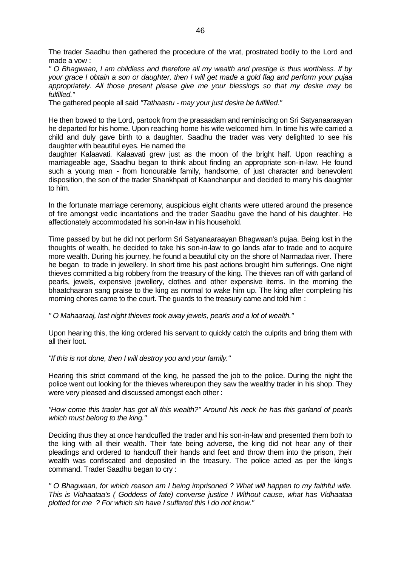The trader Saadhu then gathered the procedure of the vrat, prostrated bodily to the Lord and made a vow :

*" O Bhagwaan, I am childless and therefore all my wealth and prestige is thus worthless. If by your grace I obtain a son or daughter, then I will get made a gold flag and perform your pujaa appropriately. All those present please give me your blessings so that my desire may be fulfilled."*

The gathered people all said *"Tathaastu - may your just desire be fulfilled."*

He then bowed to the Lord, partook from the prasaadam and reminiscing on Sri Satyanaaraayan he departed for his home. Upon reaching home his wife welcomed him. In time his wife carried a child and duly gave birth to a daughter. Saadhu the trader was very delighted to see his daughter with beautiful eyes. He named the

daughter Kalaavati. Kalaavati grew just as the moon of the bright half. Upon reaching a marriageable age, Saadhu began to think about finding an appropriate son-in-law. He found such a young man - from honourable family, handsome, of just character and benevolent disposition, the son of the trader Shankhpati of Kaanchanpur and decided to marry his daughter to him.

In the fortunate marriage ceremony, auspicious eight chants were uttered around the presence of fire amongst vedic incantations and the trader Saadhu gave the hand of his daughter. He affectionately accommodated his son-in-law in his household.

Time passed by but he did not perform Sri Satyanaaraayan Bhagwaan's pujaa. Being lost in the thoughts of wealth, he decided to take his son-in-law to go lands afar to trade and to acquire more wealth. During his journey, he found a beautiful city on the shore of Narmadaa river. There he began to trade in jewellery. In short time his past actions brought him sufferings. One night thieves committed a big robbery from the treasury of the king. The thieves ran off with garland of pearls, jewels, expensive jewellery, clothes and other expensive items. In the morning the bhaatchaaran sang praise to the king as normal to wake him up. The king after completing his morning chores came to the court. The guards to the treasury came and told him :

*" O Mahaaraaj, last night thieves took away jewels, pearls and a lot of wealth."*

Upon hearing this, the king ordered his servant to quickly catch the culprits and bring them with all their loot.

*"If this is not done, then I will destroy you and your family."* 

Hearing this strict command of the king, he passed the job to the police. During the night the police went out looking for the thieves whereupon they saw the wealthy trader in his shop. They were very pleased and discussed amongst each other :

*"How come this trader has got all this wealth?" Around his neck he has this garland of pearls which must belong to the king."*

Deciding thus they at once handcuffed the trader and his son-in-law and presented them both to the king with all their wealth. Their fate being adverse, the king did not hear any of their pleadings and ordered to handcuff their hands and feet and throw them into the prison, their wealth was confiscated and deposited in the treasury. The police acted as per the king's command. Trader Saadhu began to cry :

*" O Bhagwaan, for which reason am I being imprisoned ? What will happen to my faithful wife. This is Vidhaataa's ( Goddess of fate) converse justice ! Without cause, what has Vidhaataa plotted for me ? For which sin have I suffered this I do not know."*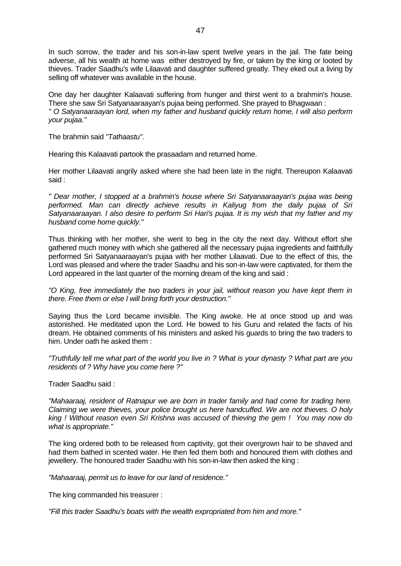In such sorrow, the trader and his son-in-law spent twelve years in the jail. The fate being adverse, all his wealth at home was either destroyed by fire, or taken by the king or looted by thieves. Trader Saadhu's wife Lilaavati and daughter suffered greatly. They eked out a living by selling off whatever was available in the house.

One day her daughter Kalaavati suffering from hunger and thirst went to a brahmin's house. There she saw Sri Satyanaaraayan's pujaa being performed. She prayed to Bhagwaan : *" O Satyanaaraayan lord, when my father and husband quickly return home, I will also perform your pujaa."*

The brahmin said *"Tathaastu"*.

Hearing this Kalaavati partook the prasaadam and returned home.

Her mother Lilaavati angrily asked where she had been late in the night. Thereupon Kalaavati said :

*" Dear mother, I stopped at a brahmin's house where Sri Satyanaaraayan's pujaa was being performed. Man can directly achieve results in Kaliyug from the daily pujaa of Sri Satyanaaraayan. I also desire to perform Sri Hari's pujaa. It is my wish that my father and my husband come home quickly."*

Thus thinking with her mother, she went to beg in the city the next day. Without effort she gathered much money with which she gathered all the necessary pujaa ingredients and faithfully performed Sri Satyanaaraayan's pujaa with her mother Lilaavati. Due to the effect of this, the Lord was pleased and where the trader Saadhu and his son-in-law were captivated, for them the Lord appeared in the last quarter of the morning dream of the king and said :

*"O King, free immediately the two traders in your jail, without reason you have kept them in there. Free them or else I will bring forth your destruction."* 

Saying thus the Lord became invisible. The King awoke. He at once stood up and was astonished. He meditated upon the Lord. He bowed to his Guru and related the facts of his dream. He obtained comments of his ministers and asked his guards to bring the two traders to him. Under oath he asked them :

*"Truthfully tell me what part of the world you live in ? What is your dynasty ? What part are you residents of ? Why have you come here ?"*

Trader Saadhu said :

*"Mahaaraaj, resident of Ratnapur we are born in trader family and had come for trading here. Claiming we were thieves, your police brought us here handcuffed. We are not thieves. O holy king ! Without reason even Sri Krishna was accused of thieving the gem ! You may now do what is appropriate."*

The king ordered both to be released from captivity, got their overgrown hair to be shaved and had them bathed in scented water. He then fed them both and honoured them with clothes and jewellery. The honoured trader Saadhu with his son-in-law then asked the king :

*"Mahaaraaj, permit us to leave for our land of residence."*

The king commanded his treasurer :

*"Fill this trader Saadhu's boats with the wealth expropriated from him and more."*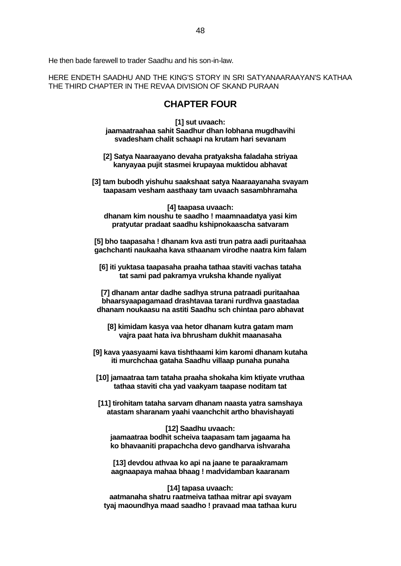He then bade farewell to trader Saadhu and his son-in-law.

HERE ENDETH SAADHU AND THE KING'S STORY IN SRI SATYANAARAAYAN'S KATHAA THE THIRD CHAPTER IN THE REVAA DIVISION OF SKAND PURAAN

## **CHAPTER FOUR**

**[1] sut uvaach: jaamaatraahaa sahit Saadhur dhan lobhana mugdhavihi svadesham chalit schaapi na krutam hari sevanam**

**[2] Satya Naaraayano devaha pratyaksha faladaha striyaa kanyayaa pujit stasmei krupayaa muktidou abhavat**

**[3] tam bubodh yishuhu saakshaat satya Naaraayanaha svayam taapasam vesham aasthaay tam uvaach sasambhramaha**

**[4] taapasa uvaach: dhanam kim noushu te saadho ! maamnaadatya yasi kim pratyutar pradaat saadhu kshipnokaascha satvaram**

**[5] bho taapasaha ! dhanam kva asti trun patra aadi puritaahaa gachchanti naukaaha kava sthaanam virodhe naatra kim falam**

**[6] iti yuktasa taapasaha praaha tathaa staviti vachas tataha tat sami pad pakramya vruksha khande nyaliyat**

**[7] dhanam antar dadhe sadhya struna patraadi puritaahaa bhaarsyaapagamaad drashtavaa tarani rurdhva gaastadaa dhanam noukaasu na astiti Saadhu sch chintaa paro abhavat**

**[8] kimidam kasya vaa hetor dhanam kutra gatam mam vajra paat hata iva bhrusham dukhit maanasaha**

**[9] kava yaasyaami kava tishthaami kim karomi dhanam kutaha iti murchchaa gataha Saadhu villaap punaha punaha**

**[10] jamaatraa tam tataha praaha shokaha kim ktiyate vruthaa tathaa staviti cha yad vaakyam taapase noditam tat**

**[11] tirohitam tataha sarvam dhanam naasta yatra samshaya atastam sharanam yaahi vaanchchit artho bhavishayati**

**[12] Saadhu uvaach: jaamaatraa bodhit scheiva taapasam tam jagaama ha ko bhavaaniti prapachcha devo gandharva ishvaraha**

**[13] devdou athvaa ko api na jaane te paraakramam aagnaapaya mahaa bhaag ! madvidamban kaaranam**

**[14] tapasa uvaach: aatmanaha shatru raatmeiva tathaa mitrar api svayam tyaj maoundhya maad saadho ! pravaad maa tathaa kuru**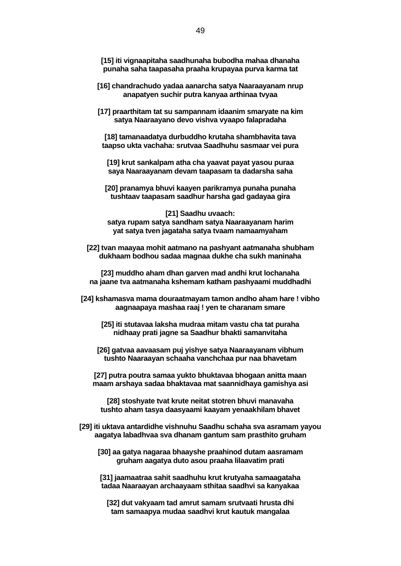**[15] iti vignaapitaha saadhunaha bubodha mahaa dhanaha punaha saha taapasaha praaha krupayaa purva karma tat**

- **[16] chandrachudo yadaa aanarcha satya Naaraayanam nrup anapatyen suchir putra kanyaa arthinaa tvyaa**
- **[17] praarthitam tat su sampannam idaanim smaryate na kim satya Naaraayano devo vishva vyaapo falapradaha**

**[18] tamanaadatya durbuddho krutaha shambhavita tava taapso ukta vachaha: srutvaa Saadhuhu sasmaar vei pura**

**[19] krut sankalpam atha cha yaavat payat yasou puraa saya Naaraayanam devam taapasam ta dadarsha saha**

**[20] pranamya bhuvi kaayen parikramya punaha punaha tushtaav taapasam saadhur harsha gad gadayaa gira**

**[21] Saadhu uvaach: satya rupam satya sandham satya Naaraayanam harim yat satya tven jagataha satya tvaam namaamyaham**

**[22] tvan maayaa mohit aatmano na pashyant aatmanaha shubham dukhaam bodhou sadaa magnaa dukhe cha sukh maninaha**

**[23] muddho aham dhan garven mad andhi krut lochanaha na jaane tva aatmanaha kshemam katham pashyaami muddhadhi**

- **[24] kshamasva mama douraatmayam tamon andho aham hare ! vibho aagnaapaya mashaa raaj ! yen te charanam smare**
	- **[25] iti stutavaa laksha mudraa mitam vastu cha tat puraha nidhaay prati jagne sa Saadhur bhakti samanvitaha**
	- **[26] gatvaa aavaasam puj yishye satya Naaraayanam vibhum tushto Naaraayan schaaha vanchchaa pur naa bhavetam**
	- **[27] putra poutra samaa yukto bhuktavaa bhogaan anitta maan maam arshaya sadaa bhaktavaa mat saannidhaya gamishya asi**

**[28] stoshyate tvat krute neitat stotren bhuvi manavaha tushto aham tasya daasyaami kaayam yenaakhilam bhavet**

- **[29] iti uktava antardidhe vishnuhu Saadhu schaha sva asramam yayou aagatya labadhvaa sva dhanam gantum sam prasthito gruham**
	- **[30] aa gatya nagaraa bhaayshe praahinod dutam aasramam gruham aagatya duto asou praaha lilaavatim prati**

**[31] jaamaatraa sahit saadhuhu krut krutyaha samaagataha tadaa Naaraayan archaayaam sthitaa saadhvi sa kanyakaa**

**[32] dut vakyaam tad amrut samam srutvaati hrusta dhi tam samaapya mudaa saadhvi krut kautuk mangalaa**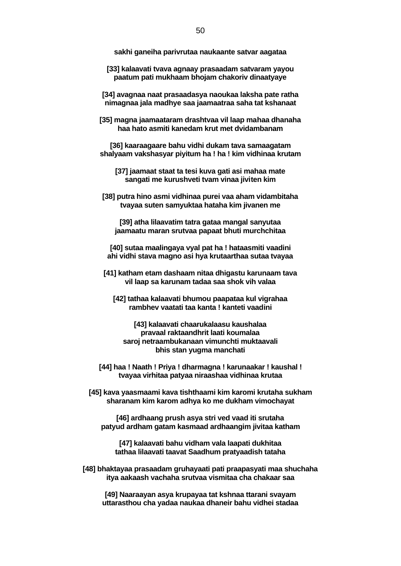**sakhi ganeiha parivrutaa naukaante satvar aagataa**

**[33] kalaavati tvava agnaay prasaadam satvaram yayou paatum pati mukhaam bhojam chakoriv dinaatyaye**

**[34] avagnaa naat prasaadasya naoukaa laksha pate ratha nimagnaa jala madhye saa jaamaatraa saha tat kshanaat**

**[35] magna jaamaataram drashtvaa vil laap mahaa dhanaha haa hato asmiti kanedam krut met dvidambanam**

**[36] kaaraagaare bahu vidhi dukam tava samaagatam shalyaam vakshasyar piyitum ha ! ha ! kim vidhinaa krutam**

**[37] jaamaat staat ta tesi kuva gati asi mahaa mate sangati me kurushveti tvam vinaa jiviten kim**

**[38] putra hino asmi vidhinaa purei vaa aham vidambitaha tvayaa suten samyuktaa hataha kim jivanen me**

**[39] atha lilaavatim tatra gataa mangal sanyutaa jaamaatu maran srutvaa papaat bhuti murchchitaa**

**[40] sutaa maalingaya vyal pat ha ! hataasmiti vaadini ahi vidhi stava magno asi hya krutaarthaa sutaa tvayaa**

**[41] katham etam dashaam nitaa dhigastu karunaam tava vil laap sa karunam tadaa saa shok vih valaa**

**[42] tathaa kalaavati bhumou paapataa kul vigrahaa rambhev vaatati taa kanta ! kanteti vaadini**

**[43] kalaavati chaarukalaasu kaushalaa pravaal raktaandhrit laati koumalaa saroj netraambukanaan vimunchti muktaavali bhis stan yugma manchati**

**[44] haa ! Naath ! Priya ! dharmagna ! karunaakar ! kaushal ! tvayaa virhitaa patyaa niraashaa vidhinaa krutaa**

**[45] kava yaasmaami kava tishthaami kim karomi krutaha sukham sharanam kim karom adhya ko me dukham vimochayat**

**[46] ardhaang prush asya stri ved vaad iti srutaha patyud ardham gatam kasmaad ardhaangim jivitaa katham**

**[47] kalaavati bahu vidham vala laapati dukhitaa tathaa lilaavati taavat Saadhum pratyaadish tataha**

**[48] bhaktayaa prasaadam gruhayaati pati praapasyati maa shuchaha itya aakaash vachaha srutvaa vismitaa cha chakaar saa**

**[49] Naaraayan asya krupayaa tat kshnaa ttarani svayam uttarasthou cha yadaa naukaa dhaneir bahu vidhei stadaa**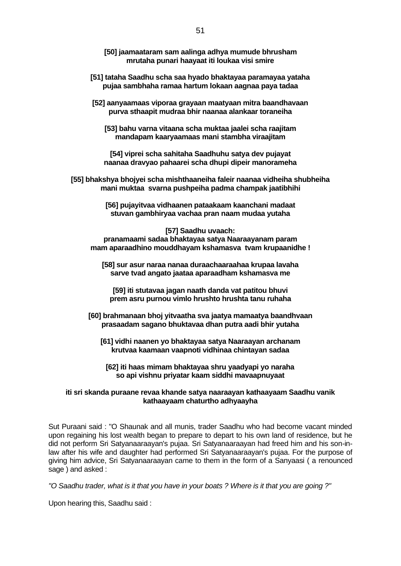- **[50] jaamaataram sam aalinga adhya mumude bhrusham mrutaha punari haayaat iti loukaa visi smire**
- **[51] tataha Saadhu scha saa hyado bhaktayaa paramayaa yataha pujaa sambhaha ramaa hartum lokaan aagnaa paya tadaa**
- **[52] aanyaamaas viporaa grayaan maatyaan mitra baandhavaan purva sthaapit mudraa bhir naanaa alankaar toraneiha**

**[53] bahu varna vitaana scha muktaa jaalei scha raajitam mandapam kaaryaamaas mani stambha viraajitam**

**[54] viprei scha sahitaha Saadhuhu satya dev pujayat naanaa dravyao pahaarei scha dhupi dipeir manorameha**

**[55] bhakshya bhojyei scha mishthaaneiha faleir naanaa vidheiha shubheiha mani muktaa svarna pushpeiha padma champak jaatibhihi**

> **[56] pujayitvaa vidhaanen pataakaam kaanchani madaat stuvan gambhiryaa vachaa pran naam mudaa yutaha**

**[57] Saadhu uvaach: pranamaami sadaa bhaktayaa satya Naaraayanam param mam aparaadhino mouddhayam kshamasva tvam krupaanidhe !**

**[58] sur asur naraa nanaa duraachaaraahaa krupaa lavaha sarve tvad angato jaataa aparaadham kshamasva me**

**[59] iti stutavaa jagan naath danda vat patitou bhuvi prem asru purnou vimlo hrushto hrushta tanu ruhaha**

**[60] brahmanaan bhoj yitvaatha sva jaatya mamaatya baandhvaan prasaadam sagano bhuktavaa dhan putra aadi bhir yutaha**

**[61] vidhi naanen yo bhaktayaa satya Naaraayan archanam krutvaa kaamaan vaapnoti vidhinaa chintayan sadaa**

**[62] iti haas mimam bhaktayaa shru yaadyapi yo naraha so api vishnu priyatar kaam siddhi mavaapnuyaat**

#### **iti sri skanda puraane revaa khande satya naaraayan kathaayaam Saadhu vanik kathaayaam chaturtho adhyaayha**

Sut Puraani said : "O Shaunak and all munis, trader Saadhu who had become vacant minded upon regaining his lost wealth began to prepare to depart to his own land of residence, but he did not perform Sri Satyanaaraayan's pujaa. Sri Satyanaaraayan had freed him and his son-inlaw after his wife and daughter had performed Sri Satyanaaraayan's pujaa. For the purpose of giving him advice, Sri Satyanaaraayan came to them in the form of a Sanyaasi ( a renounced sage ) and asked :

*"O Saadhu trader, what is it that you have in your boats ? Where is it that you are going ?"* 

Upon hearing this, Saadhu said :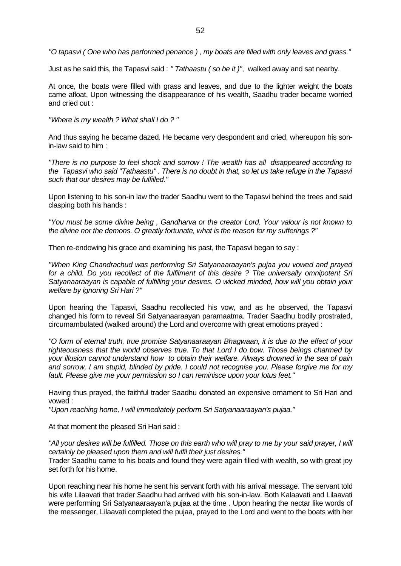*"O tapasvi ( One who has performed penance ) , my boats are filled with only leaves and grass."*

Just as he said this, the Tapasvi said : *" Tathaastu ( so be it )"*, walked away and sat nearby.

At once, the boats were filled with grass and leaves, and due to the lighter weight the boats came afloat. Upon witnessing the disappearance of his wealth, Saadhu trader became worried and cried out :

*"Where is my wealth ? What shall I do ? "* 

And thus saying he became dazed. He became very despondent and cried, whereupon his sonin-law said to him :

*"There is no purpose to feel shock and sorrow ! The wealth has all disappeared according to the Tapasvi who said "Tathaastu" . There is no doubt in that, so let us take refuge in the Tapasvi such that our desires may be fulfilled."*

Upon listening to his son-in law the trader Saadhu went to the Tapasvi behind the trees and said clasping both his hands :

*"You must be some divine being , Gandharva or the creator Lord. Your valour is not known to the divine nor the demons. O greatly fortunate, what is the reason for my sufferings ?"*

Then re-endowing his grace and examining his past, the Tapasvi began to say :

*"When King Chandrachud was performing Sri Satyanaaraayan's pujaa you vowed and prayed for a child. Do you recollect of the fulfilment of this desire ? The universally omnipotent Sri Satyanaaraayan is capable of fulfilling your desires. O wicked minded, how will you obtain your welfare by ignoring Sri Hari ?"*

Upon hearing the Tapasvi, Saadhu recollected his vow, and as he observed, the Tapasvi changed his form to reveal Sri Satyanaaraayan paramaatma. Trader Saadhu bodily prostrated, circumambulated (walked around) the Lord and overcome with great emotions prayed :

*"O form of eternal truth, true promise Satyanaaraayan Bhagwaan, it is due to the effect of your righteousness that the world observes true. To that Lord I do bow. Those beings charmed by your illusion cannot understand how to obtain their welfare. Always drowned in the sea of pain and sorrow, I am stupid, blinded by pride. I could not recognise you. Please forgive me for my fault. Please give me your permission so I can reminisce upon your lotus feet."*

Having thus prayed, the faithful trader Saadhu donated an expensive ornament to Sri Hari and vowed :

*"Upon reaching home, I will immediately perform Sri Satyanaaraayan's pujaa."*

At that moment the pleased Sri Hari said :

*"All your desires will be fulfilled. Those on this earth who will pray to me by your said prayer, I will certainly be pleased upon them and will fulfil their just desires."*

Trader Saadhu came to his boats and found they were again filled with wealth, so with great joy set forth for his home.

Upon reaching near his home he sent his servant forth with his arrival message. The servant told his wife Lilaavati that trader Saadhu had arrived with his son-in-law. Both Kalaavati and Lilaavati were performing Sri Satyanaaraayan'a pujaa at the time . Upon hearing the nectar like words of the messenger, Lilaavati completed the pujaa, prayed to the Lord and went to the boats with her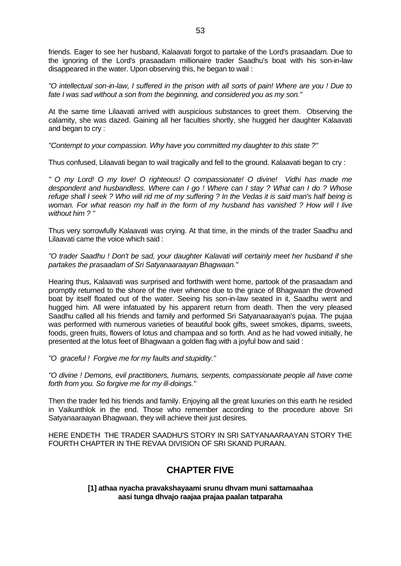friends. Eager to see her husband, Kalaavati forgot to partake of the Lord's prasaadam. Due to the ignoring of the Lord's prasaadam millionaire trader Saadhu's boat with his son-in-law disappeared in the water. Upon observing this, he began to wail :

*"O intellectual son-in-law, I suffered in the prison with all sorts of pain! Where are you ! Due to fate I was sad without a son from the beginning, and considered you as my son."*

At the same time Lilaavati arrived with auspicious substances to greet them. Observing the calamity, she was dazed. Gaining all her faculties shortly, she hugged her daughter Kalaavati and began to cry :

*"Contempt to your compassion. Why have you committed my daughter to this state ?"*

Thus confused, Lilaavati began to wail tragically and fell to the ground. Kalaavati began to cry :

*" O my Lord! O my love! O righteous! O compassionate! O divine! Vidhi has made me despondent and husbandless. Where can I go ! Where can I stay ? What can I do ? Whose refuge shall I seek ? Who will rid me of my suffering ? In the Vedas it is said man's half being is woman. For what reason my half in the form of my husband has vanished ? How will I live without him ? "*

Thus very sorrowfully Kalaavati was crying. At that time, in the minds of the trader Saadhu and Lilaavati came the voice which said :

*"O trader Saadhu ! Don't be sad, your daughter Kalavati will certainly meet her husband if she partakes the prasaadam of Sri Satyanaaraayan Bhagwaan."*

Hearing thus, Kalaavati was surprised and forthwith went home, partook of the prasaadam and promptly returned to the shore of the river whence due to the grace of Bhagwaan the drowned boat by itself floated out of the water. Seeing his son-in-law seated in it, Saadhu went and hugged him. All were infatuated by his apparent return from death. Then the very pleased Saadhu called all his friends and family and performed Sri Satyanaaraayan's pujaa. The pujaa was performed with numerous varieties of beautiful book gifts, sweet smokes, dipams, sweets, foods, green fruits, flowers of lotus and champaa and so forth. And as he had vowed initially, he presented at the lotus feet of Bhagwaan a golden flag with a joyful bow and said :

*"O graceful ! Forgive me for my faults and stupidity."*

*"O divine ! Demons, evil practitioners, humans, serpents, compassionate people all have come forth from you. So forgive me for my ill-doings."*

Then the trader fed his friends and family. Enjoying all the great luxuries on this earth he resided in Vaikunthlok in the end. Those who remember according to the procedure above Sri Satyanaaraayan Bhagwaan, they will achieve their just desires.

HERE ENDETH THE TRADER SAADHU'S STORY IN SRI SATYANAARAAYAN STORY THE FOURTH CHAPTER IN THE REVAA DIVISION OF SRI SKAND PURAAN.

## **CHAPTER FIVE**

**[1] athaa nyacha pravakshayaami srunu dhvam muni sattamaahaa aasi tunga dhvajo raajaa prajaa paalan tatparaha**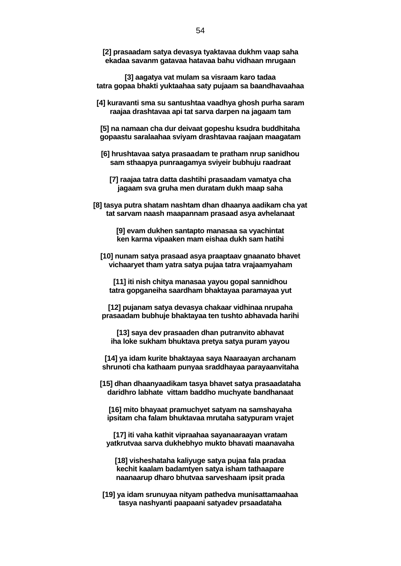**[2] prasaadam satya devasya tyaktavaa dukhm vaap saha ekadaa savanm gatavaa hatavaa bahu vidhaan mrugaan**

**[3] aagatya vat mulam sa visraam karo tadaa tatra gopaa bhakti yuktaahaa saty pujaam sa baandhavaahaa**

- **[4] kuravanti sma su santushtaa vaadhya ghosh purha saram raajaa drashtavaa api tat sarva darpen na jagaam tam**
- **[5] na namaan cha dur deivaat gopeshu ksudra buddhitaha gopaastu saralaahaa sviyam drashtavaa raajaan maagatam**
- **[6] hrushtavaa satya prasaadam te pratham nrup sanidhou sam sthaapya punraagamya sviyeir bubhuju raadraat**
	- **[7] raajaa tatra datta dashtihi prasaadam vamatya cha jagaam sva gruha men duratam dukh maap saha**
- **[8] tasya putra shatam nashtam dhan dhaanya aadikam cha yat tat sarvam naash maapannam prasaad asya avhelanaat**

**[9] evam dukhen santapto manasaa sa vyachintat ken karma vipaaken mam eishaa dukh sam hatihi**

**[10] nunam satya prasaad asya praaptaav gnaanato bhavet vichaaryet tham yatra satya pujaa tatra vrajaamyaham**

**[11] iti nish chitya manasaa yayou gopal sannidhou tatra gopganeiha saardham bhaktayaa paramayaa yut**

**[12] pujanam satya devasya chakaar vidhinaa nrupaha prasaadam bubhuje bhaktayaa ten tushto abhavada harihi**

**[13] saya dev prasaaden dhan putranvito abhavat iha loke sukham bhuktava pretya satya puram yayou**

**[14] ya idam kurite bhaktayaa saya Naaraayan archanam shrunoti cha kathaam punyaa sraddhayaa parayaanvitaha**

**[15] dhan dhaanyaadikam tasya bhavet satya prasaadataha daridhro labhate vittam baddho muchyate bandhanaat**

**[16] mito bhayaat pramuchyet satyam na samshayaha ipsitam cha falam bhuktavaa mrutaha satypuram vrajet**

**[17] iti vaha kathit vipraahaa sayanaaraayan vratam yatkrutvaa sarva dukhebhyo mukto bhavati maanavaha**

**[18] visheshataha kaliyuge satya pujaa fala pradaa kechit kaalam badamtyen satya isham tathaapare naanaarup dharo bhutvaa sarveshaam ipsit prada**

**[19] ya idam srunuyaa nityam pathedva munisattamaahaa tasya nashyanti paapaani satyadev prsaadataha**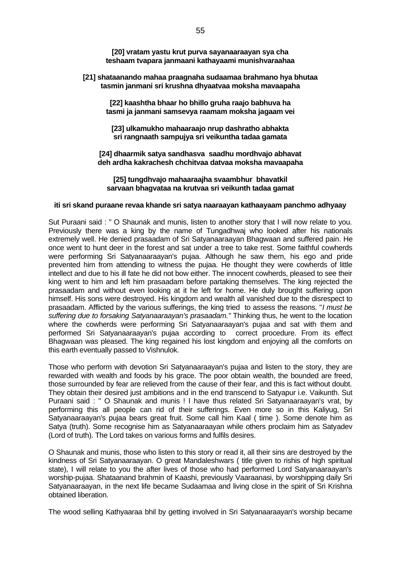**[20] vratam yastu krut purva sayanaaraayan sya cha teshaam tvapara janmaani kathayaami munishvaraahaa**

#### **[21] shataanando mahaa praagnaha sudaamaa brahmano hya bhutaa tasmin janmani sri krushna dhyaatvaa moksha mavaapaha**

**[22] kaashtha bhaar ho bhillo gruha raajo babhuva ha tasmi ja janmani samsevya raamam moksha jagaam vei**

**[23] ulkamukho mahaaraajo nrup dashratho abhakta sri rangnaath sampujya sri veikuntha tadaa gamata**

**[24] dhaarmik satya sandhasva saadhu mordhvajo abhavat deh ardha kakrachesh chchitvaa datvaa moksha mavaapaha**

**[25] tungdhvajo mahaaraajha svaambhur bhavatkil sarvaan bhagvataa na krutvaa sri veikunth tadaa gamat**

#### **iti sri skand puraane revaa khande sri satya naaraayan kathaayaam panchmo adhyaay**

Sut Puraani said : " O Shaunak and munis, listen to another story that I will now relate to you. Previously there was a king by the name of Tungadhwaj who looked after his nationals extremely well. He denied prasaadam of Sri Satyanaaraayan Bhagwaan and suffered pain. He once went to hunt deer in the forest and sat under a tree to take rest. Some faithful cowherds were performing Sri Satyanaaraayan's pujaa. Although he saw them, his ego and pride prevented him from attending to witness the pujaa. He thought they were cowherds of little intellect and due to his ill fate he did not bow either. The innocent cowherds, pleased to see their king went to him and left him prasaadam before partaking themselves. The king rejected the prasaadam and without even looking at it he left for home. He duly brought suffering upon himself. His sons were destroyed. His kingdom and wealth all vanished due to the disrespect to prasaadam. Afflicted by the various sufferings, the king tried to assess the reasons. "*I must be suffering due to forsaking Satyanaaraayan's prasaadam."* Thinking thus, he went to the location where the cowherds were performing Sri Satyanaaraayan's pujaa and sat with them and performed Sri Satyanaaraayan's pujaa according to correct procedure. From its effect Bhagwaan was pleased. The king regained his lost kingdom and enjoying all the comforts on this earth eventually passed to Vishnulok.

Those who perform with devotion Sri Satyanaaraayan's pujaa and listen to the story, they are rewarded with wealth and foods by his grace. The poor obtain wealth, the bounded are freed. those surrounded by fear are relieved from the cause of their fear, and this is fact without doubt. They obtain their desired just ambitions and in the end transcend to Satyapur i.e. Vaikunth. Sut Puraani said : " O Shaunak and munis ! I have thus related Sri Satyanaaraayan's vrat, by performing this all people can rid of their sufferings. Even more so in this Kaliyug, Sri Satyanaaraayan's pujaa bears great fruit. Some call him Kaal ( time ). Some denote him as Satya (truth). Some recognise him as Satyanaaraayan while others proclaim him as Satyadev (Lord of truth). The Lord takes on various forms and fulfils desires.

O Shaunak and munis, those who listen to this story or read it, all their sins are destroyed by the kindness of Sri Satyanaaraayan. O great Mandaleshwars ( title given to rishis of high spiritual state), I will relate to you the after lives of those who had performed Lord Satyanaaraayan's worship-pujaa. Shataanand brahmin of Kaashi, previously Vaaraanasi, by worshipping daily Sri Satyanaaraayan, in the next life became Sudaamaa and living close in the spirit of Sri Krishna obtained liberation.

The wood selling Kathyaaraa bhil by getting involved in Sri Satyanaaraayan's worship became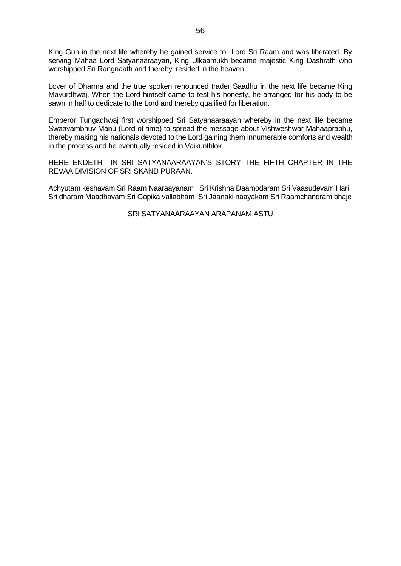King Guh in the next life whereby he gained service to Lord Sri Raam and was liberated. By serving Mahaa Lord Satyanaaraayan, King Ulkaamukh became majestic King Dashrath who worshipped Sri Rangnaath and thereby resided in the heaven.

Lover of Dharma and the true spoken renounced trader Saadhu in the next life became King Mayurdhwaj. When the Lord himself came to test his honesty, he arranged for his body to be sawn in half to dedicate to the Lord and thereby qualified for liberation.

Emperor Tungadhwaj first worshipped Sri Satyanaaraayan whereby in the next life became Swaayambhuv Manu (Lord of time) to spread the message about Vishweshwar Mahaaprabhu, thereby making his nationals devoted to the Lord gaining them innumerable comforts and wealth in the process and he eventually resided in Vaikunthlok.

HERE ENDETH IN SRI SATYANAARAAYAN'S STORY THE FIFTH CHAPTER IN THE REVAA DIVISION OF SRI SKAND PURAAN.

Achyutam keshavam Sri Raam Naaraayanam Sri Krishna Daamodaram Sri Vaasudevam Hari Sri dharam Maadhavam Sri Gopika vallabham Sri Jaanaki naayakam Sri Raamchandram bhaje

SRI SATYANAARAAYAN ARAPANAM ASTU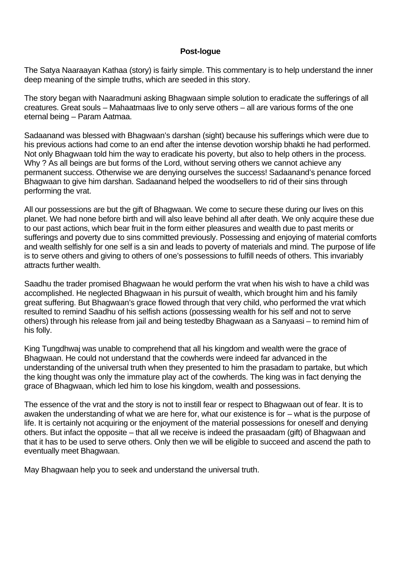## **Post-logue**

The Satya Naaraayan Kathaa (story) is fairly simple. This commentary is to help understand the inner deep meaning of the simple truths, which are seeded in this story.

The story began with Naaradmuni asking Bhagwaan simple solution to eradicate the sufferings of all creatures. Great souls – Mahaatmaas live to only serve others – all are various forms of the one eternal being – Param Aatmaa.

Sadaanand was blessed with Bhagwaan's darshan (sight) because his sufferings which were due to his previous actions had come to an end after the intense devotion worship bhakti he had performed. Not only Bhagwaan told him the way to eradicate his poverty, but also to help others in the process. Why ? As all beings are but forms of the Lord, without serving others we cannot achieve any permanent success. Otherwise we are denying ourselves the success! Sadaanand's penance forced Bhagwaan to give him darshan. Sadaanand helped the woodsellers to rid of their sins through performing the vrat.

All our possessions are but the gift of Bhagwaan. We come to secure these during our lives on this planet. We had none before birth and will also leave behind all after death. We only acquire these due to our past actions, which bear fruit in the form either pleasures and wealth due to past merits or sufferings and poverty due to sins committed previously. Possessing and enjoying of material comforts and wealth selfishly for one self is a sin and leads to poverty of materials and mind. The purpose of life is to serve others and giving to others of one's possessions to fulfill needs of others. This invariably attracts further wealth.

Saadhu the trader promised Bhagwaan he would perform the vrat when his wish to have a child was accomplished. He neglected Bhagwaan in his pursuit of wealth, which brought him and his family great suffering. But Bhagwaan's grace flowed through that very child, who performed the vrat which resulted to remind Saadhu of his selfish actions (possessing wealth for his self and not to serve others) through his release from jail and being testedby Bhagwaan as a Sanyaasi – to remind him of his folly.

King Tungdhwaj was unable to comprehend that all his kingdom and wealth were the grace of Bhagwaan. He could not understand that the cowherds were indeed far advanced in the understanding of the universal truth when they presented to him the prasadam to partake, but which the king thought was only the immature play act of the cowherds. The king was in fact denying the grace of Bhagwaan, which led him to lose his kingdom, wealth and possessions.

The essence of the vrat and the story is not to instill fear or respect to Bhagwaan out of fear. It is to awaken the understanding of what we are here for, what our existence is for – what is the purpose of life. It is certainly not acquiring or the enjoyment of the material possessions for oneself and denying others. But infact the opposite – that all we receive is indeed the prasaadam (gift) of Bhagwaan and that it has to be used to serve others. Only then we will be eligible to succeed and ascend the path to eventually meet Bhagwaan.

May Bhagwaan help you to seek and understand the universal truth.